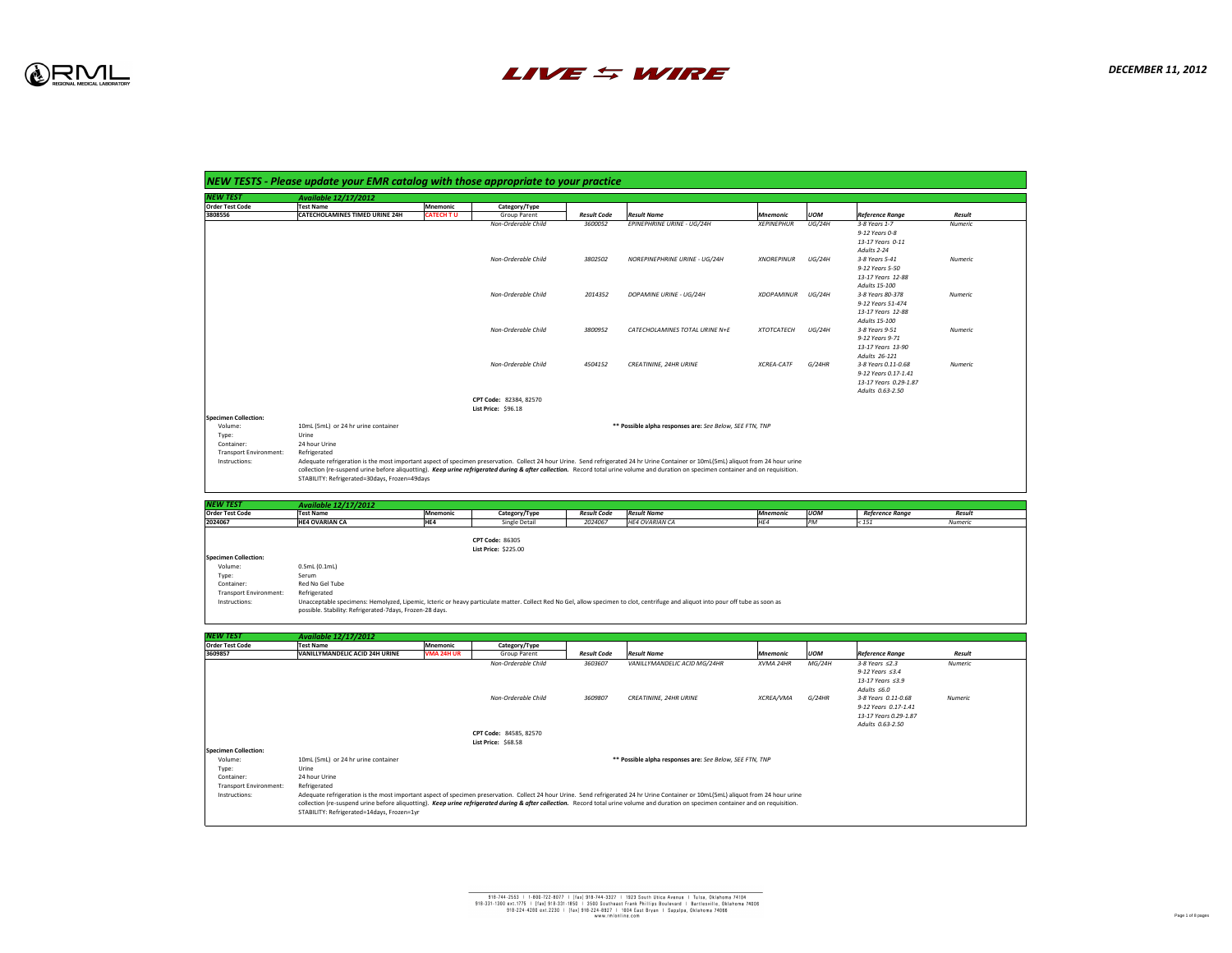

| 'EW TEST                                                                                                                             | <b>Available 12/17/2012</b>                                                                                                               |                   |                                         |
|--------------------------------------------------------------------------------------------------------------------------------------|-------------------------------------------------------------------------------------------------------------------------------------------|-------------------|-----------------------------------------|
| <b>Order Test Code</b>                                                                                                               | <b>Test Name</b>                                                                                                                          | <b>Mnemonic</b>   | Category/Type                           |
| 3808556                                                                                                                              | <b>CATECHOLAMINES TIMED URINE 24H</b>                                                                                                     | <b>CATECH TU</b>  | <b>Group Parent</b><br>Non-Orderable Ch |
|                                                                                                                                      |                                                                                                                                           |                   |                                         |
|                                                                                                                                      |                                                                                                                                           |                   | Non-Orderable Ch                        |
|                                                                                                                                      |                                                                                                                                           |                   | Non-Orderable Ch                        |
|                                                                                                                                      |                                                                                                                                           |                   | Non-Orderable Ch                        |
|                                                                                                                                      |                                                                                                                                           |                   | Non-Orderable Ch                        |
|                                                                                                                                      |                                                                                                                                           |                   | CPT Code: 82384, 8257                   |
| <b>Specimen Collection:</b>                                                                                                          |                                                                                                                                           |                   | <b>List Price: \$96.18</b>              |
| Volume:                                                                                                                              | 10mL (5mL) or 24 hr urine container                                                                                                       |                   |                                         |
| Type:                                                                                                                                | Urine                                                                                                                                     |                   |                                         |
| Container:                                                                                                                           | 24 hour Urine                                                                                                                             |                   |                                         |
| <b>Transport Environment:</b>                                                                                                        | Refrigerated                                                                                                                              |                   |                                         |
| Instructions:                                                                                                                        | Adequate refrigeration is the most important aspect of specimen preservation. Collect 2                                                   |                   |                                         |
|                                                                                                                                      |                                                                                                                                           |                   |                                         |
|                                                                                                                                      | collection (re-suspend urine before aliquotting). Keep urine refrigerated during & after<br>STABILITY: Refrigerated=30days, Frozen=49days |                   |                                         |
|                                                                                                                                      |                                                                                                                                           |                   |                                         |
|                                                                                                                                      |                                                                                                                                           |                   |                                         |
|                                                                                                                                      | <b>Available 12/17/2012</b><br><b>Test Name</b>                                                                                           | <b>Mnemonic</b>   | Category/Type                           |
|                                                                                                                                      | <b>HE4 OVARIAN CA</b>                                                                                                                     | HE4               | Single Detail                           |
|                                                                                                                                      |                                                                                                                                           |                   | <b>CPT Code: 86305</b>                  |
|                                                                                                                                      |                                                                                                                                           |                   | <b>List Price: \$225.00</b>             |
| Volume:                                                                                                                              | 0.5mL(0.1mL)                                                                                                                              |                   |                                         |
| Type:                                                                                                                                | Serum                                                                                                                                     |                   |                                         |
| Container:                                                                                                                           | <b>Red No Gel Tube</b>                                                                                                                    |                   |                                         |
| <b>Transport Environment:</b><br>Instructions:                                                                                       | Refrigerated<br>Unacceptable specimens: Hemolyzed, Lipemic, Icteric or heavy particulate matter. Colled                                   |                   |                                         |
|                                                                                                                                      | possible. Stability: Refrigerated-7days, Frozen-28 days.                                                                                  |                   |                                         |
|                                                                                                                                      | <b>Available 12/17/2012</b>                                                                                                               |                   |                                         |
|                                                                                                                                      | <b>Test Name</b>                                                                                                                          | <b>Mnemonic</b>   | Category/Type                           |
|                                                                                                                                      | <b>VANILLYMANDELIC ACID 24H URINE</b>                                                                                                     | <b>VMA 24H UR</b> | <b>Group Parent</b><br>Non-Orderable Ch |
| <b>NEW TEST</b><br><b>Order Test Code</b><br>2024067<br><b>Specimen Collection:</b><br>NEW TEST<br><b>Order Test Code</b><br>3609857 |                                                                                                                                           |                   |                                         |
|                                                                                                                                      |                                                                                                                                           |                   | Non-Orderable Ch                        |
|                                                                                                                                      |                                                                                                                                           |                   | <b>List Price: \$68.58</b>              |
|                                                                                                                                      |                                                                                                                                           |                   |                                         |
| Volume:                                                                                                                              | 10mL (5mL) or 24 hr urine container                                                                                                       |                   | CPT Code: 84585, 8257                   |
| Type:                                                                                                                                | Urine                                                                                                                                     |                   |                                         |
| <b>Specimen Collection:</b><br>Container:<br><b>Transport Environment:</b>                                                           | 24 hour Urine<br>Refrigerated                                                                                                             |                   |                                         |



| <b>NEW TEST</b>               | <b>Available 12/17/2012</b> |          |                             |                    |                       |                 |            |                        |         |  |
|-------------------------------|-----------------------------|----------|-----------------------------|--------------------|-----------------------|-----------------|------------|------------------------|---------|--|
| <b>Order Test Code</b>        | <b>Test Name</b>            | Mnemonic | Category/Type               | <b>Result Code</b> | <b>Result Name</b>    | <b>Mnemonic</b> | <b>UOM</b> | <b>Reference Range</b> | Result  |  |
| 2024067                       | <b>HE4 OVARIAN CA</b>       | HE4      | <b>Single Detail</b>        | 2024067            | <b>HE4 OVARIAN CA</b> | HE4             |            | $\leq 151$             | Numeric |  |
|                               |                             |          |                             |                    |                       |                 |            |                        |         |  |
|                               |                             |          | <b>CPT Code: 86305</b>      |                    |                       |                 |            |                        |         |  |
|                               |                             |          | <b>List Price: \$225.00</b> |                    |                       |                 |            |                        |         |  |
| <b>Specimen Collection:</b>   |                             |          |                             |                    |                       |                 |            |                        |         |  |
| Volume:                       | $0.5$ mL $(0.1$ mL $)$      |          |                             |                    |                       |                 |            |                        |         |  |
| Type:                         | Serum                       |          |                             |                    |                       |                 |            |                        |         |  |
| Container:                    | Red No Gel Tube             |          |                             |                    |                       |                 |            |                        |         |  |
| <b>Transport Environment:</b> | Refrigerated                |          |                             |                    |                       |                 |            |                        |         |  |

emolyzed, Lipemic, Icteric or heavy particulate matter. Collect Red No Gel, allow specimen to clot, centrifuge and aliquot into pour off tube as soon as ted-7days, Frozen-28 days.

| <b>NEW TEST</b>             | <b>Available 12/17/2012</b>           |                            |                        |                    |                                                          |                   |               |                        |                |
|-----------------------------|---------------------------------------|----------------------------|------------------------|--------------------|----------------------------------------------------------|-------------------|---------------|------------------------|----------------|
| <b>Order Test Code</b>      | <b>Test Name</b>                      | <b>Mnemonic</b>            | Category/Type          |                    |                                                          |                   |               |                        |                |
| 3808556                     | <b>CATECHOLAMINES TIMED URINE 24H</b> | <b>CATECH TU</b>           | <b>Group Parent</b>    | <b>Result Code</b> | <b>Result Name</b>                                       | Mnemonic          | <b>UOM</b>    | <b>Reference Range</b> | <b>Result</b>  |
|                             |                                       |                            | Non-Orderable Child    | 3600052            | EPINEPHRINE URINE - UG/24H                               | <b>XEPINEPHUR</b> | <b>UG/24H</b> | 3-8 Years 1-7          | <b>Numeric</b> |
|                             |                                       |                            |                        |                    |                                                          |                   |               | 9-12 Years 0-8         |                |
|                             |                                       |                            |                        |                    |                                                          |                   |               | 13-17 Years 0-11       |                |
|                             |                                       |                            |                        |                    |                                                          |                   |               | Adults 2-24            |                |
|                             |                                       |                            | Non-Orderable Child    | 3802502            | NOREPINEPHRINE URINE - UG/24H                            | <b>XNOREPINUR</b> | UG/24H        | 3-8 Years 5-41         | Numeric        |
|                             |                                       |                            |                        |                    |                                                          |                   |               | 9-12 Years 5-50        |                |
|                             |                                       |                            |                        |                    |                                                          |                   |               | 13-17 Years 12-88      |                |
|                             |                                       |                            |                        |                    |                                                          |                   |               | Adults 15-100          |                |
|                             |                                       |                            | Non-Orderable Child    | 2014352            | <b>DOPAMINE URINE - UG/24H</b>                           | <b>XDOPAMINUR</b> | UG/24H        | 3-8 Years 80-378       | Numeric        |
|                             |                                       |                            |                        |                    |                                                          |                   |               | 9-12 Years 51-474      |                |
|                             |                                       |                            |                        |                    |                                                          |                   |               | 13-17 Years 12-88      |                |
|                             |                                       |                            |                        |                    |                                                          |                   |               | Adults 15-100          |                |
|                             |                                       |                            | Non-Orderable Child    | 3800952            | CATECHOLAMINES TOTAL URINE N+E                           | <b>XTOTCATECH</b> | UG/24H        | 3-8 Years 9-51         | <b>Numeric</b> |
|                             |                                       |                            |                        |                    |                                                          |                   |               | 9-12 Years 9-71        |                |
|                             |                                       |                            |                        |                    |                                                          |                   |               | 13-17 Years 13-90      |                |
|                             |                                       |                            |                        |                    |                                                          |                   |               | Adults 26-121          |                |
|                             |                                       |                            | Non-Orderable Child    | 4504152            | <b>CREATININE, 24HR URINE</b>                            | <b>XCREA-CATF</b> | G/24HR        | 3-8 Years 0.11-0.68    | <b>Numeric</b> |
|                             |                                       |                            |                        |                    |                                                          |                   |               | 9-12 Years 0.17-1.41   |                |
|                             |                                       |                            |                        |                    |                                                          |                   |               | 13-17 Years 0.29-1.87  |                |
|                             |                                       |                            |                        |                    |                                                          |                   |               | Adults 0.63-2.50       |                |
|                             |                                       |                            | CPT Code: 82384, 82570 |                    |                                                          |                   |               |                        |                |
|                             |                                       | <b>List Price: \$96.18</b> |                        |                    |                                                          |                   |               |                        |                |
| <b>Specimen Collection:</b> |                                       |                            |                        |                    |                                                          |                   |               |                        |                |
| Volume:                     | 10mL (5mL) or 24 hr urine container   |                            |                        |                    | ** Possible alpha responses are: See Below, SEE FTN, TNP |                   |               |                        |                |

e most important aspect of specimen preservation. Collect 24 hour Urine. Send refrigerated 24 hr Urine Container or 10mL(5mL) aliquot from 24 hour urine before aliquotting). *Keep urine refrigerated during & after collection.* Record total urine volume and duration on specimen container and on requisition. days, Frozen=49days

| <b>NEW TEST</b>               | <b>Available 12/17/2012</b>                                                                                                                                                           |                   |                               |                    |                                                          |                  |            |                        |                |  |
|-------------------------------|---------------------------------------------------------------------------------------------------------------------------------------------------------------------------------------|-------------------|-------------------------------|--------------------|----------------------------------------------------------|------------------|------------|------------------------|----------------|--|
| <b>Order Test Code</b>        | <b>Test Name</b>                                                                                                                                                                      | Mnemonic          | Category/Type                 |                    |                                                          |                  |            |                        |                |  |
| 3609857                       | <b>VANILLYMANDELIC ACID 24H URINE</b>                                                                                                                                                 | <b>VMA 24H UR</b> | <b>Group Parent</b>           | <b>Result Code</b> | <b>Result Name</b>                                       | <i>Mnemonic</i>  | <b>UOM</b> | <b>Reference Range</b> | <b>Result</b>  |  |
|                               |                                                                                                                                                                                       |                   | Non-Orderable Child           | 3603607            | VANILLYMANDELIC ACID MG/24HR                             | <b>XVMA 24HR</b> | MG/24H     | $3-8$ Years $\leq$ 2.3 | <b>Numeric</b> |  |
|                               |                                                                                                                                                                                       |                   |                               |                    |                                                          |                  |            | 9-12 Years $\leq$ 3.4  |                |  |
|                               |                                                                                                                                                                                       |                   |                               |                    |                                                          |                  |            | 13-17 Years $\leq$ 3.9 |                |  |
|                               |                                                                                                                                                                                       |                   |                               |                    |                                                          |                  |            | Adults $\leq 6.0$      |                |  |
|                               |                                                                                                                                                                                       |                   | Non-Orderable Child           | 3609807            | <b>CREATININE, 24HR URINE</b>                            | <b>XCREA/VMA</b> | G/24HR     | 3-8 Years 0.11-0.68    | Numeric        |  |
|                               |                                                                                                                                                                                       |                   |                               |                    |                                                          |                  |            | 9-12 Years 0.17-1.41   |                |  |
|                               |                                                                                                                                                                                       |                   |                               |                    |                                                          |                  |            | 13-17 Years 0.29-1.87  |                |  |
|                               |                                                                                                                                                                                       |                   |                               |                    |                                                          |                  |            | Adults 0.63-2.50       |                |  |
|                               |                                                                                                                                                                                       |                   | <b>CPT Code: 84585, 82570</b> |                    |                                                          |                  |            |                        |                |  |
|                               |                                                                                                                                                                                       |                   | <b>List Price: \$68.58</b>    |                    |                                                          |                  |            |                        |                |  |
| <b>Specimen Collection:</b>   |                                                                                                                                                                                       |                   |                               |                    |                                                          |                  |            |                        |                |  |
| Volume:                       | 10mL (5mL) or 24 hr urine container                                                                                                                                                   |                   |                               |                    | ** Possible alpha responses are: See Below, SEE FTN, TNP |                  |            |                        |                |  |
| Type:                         | Urine                                                                                                                                                                                 |                   |                               |                    |                                                          |                  |            |                        |                |  |
| Container:                    | 24 hour Urine                                                                                                                                                                         |                   |                               |                    |                                                          |                  |            |                        |                |  |
| <b>Transport Environment:</b> | Refrigerated                                                                                                                                                                          |                   |                               |                    |                                                          |                  |            |                        |                |  |
| Instructions:                 | Adequate refrigeration is the most important aspect of specimen preservation. Collect 24 hour Urine. Send refrigerated 24 hr Urine Container or 10mL(5mL) aliquot from 24 hour urine  |                   |                               |                    |                                                          |                  |            |                        |                |  |
|                               | collection (re-suspend urine before aliquotting). Keep urine refrigerated during & after collection. Record total urine volume and duration on specimen container and on requisition. |                   |                               |                    |                                                          |                  |            |                        |                |  |
|                               |                                                                                                                                                                                       |                   |                               |                    |                                                          |                  |            |                        |                |  |

days, Frozen=1yr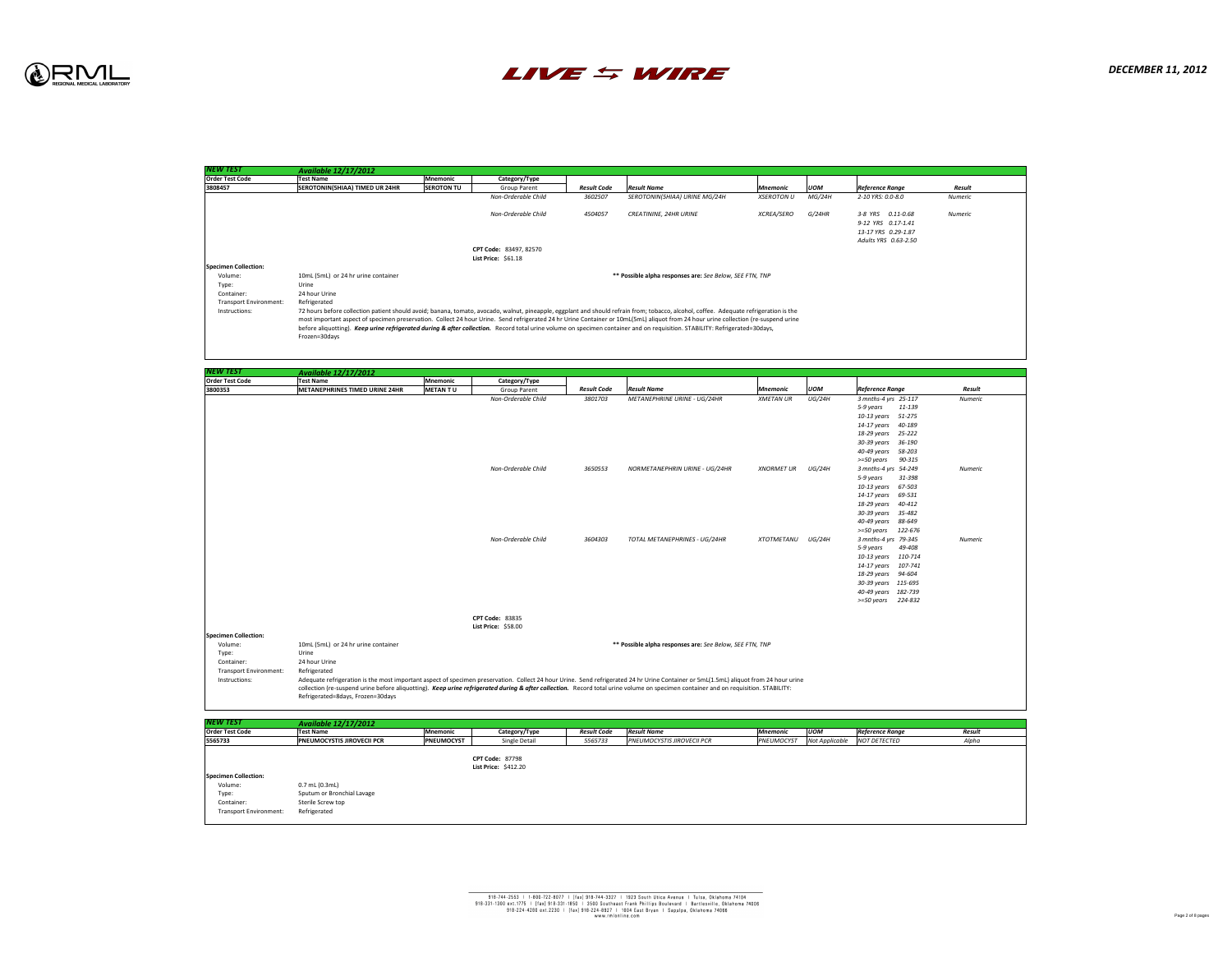| <b>NEW TEST</b>             | <b>Available 12/17/2012</b>           |                   |                            |                    |                                                          |                   |            |                        |                |  |
|-----------------------------|---------------------------------------|-------------------|----------------------------|--------------------|----------------------------------------------------------|-------------------|------------|------------------------|----------------|--|
| <b>Order Test Code</b>      | <b>Test Name</b>                      | Mnemonic          | Category/Type              |                    |                                                          |                   |            |                        |                |  |
| 3808457                     | <b>SEROTONIN(5HIAA) TIMED UR 24HR</b> | <b>SEROTON TU</b> | <b>Group Parent</b>        | <b>Result Code</b> | <b>Result Name</b>                                       | Mnemonic          | <b>UOM</b> | <b>Reference Range</b> | Result         |  |
|                             |                                       |                   | <b>Non-Orderable Child</b> | 3602507            | <b>SEROTONIN(5HIAA) URINE MG/24H</b>                     | XSEROTON U        | MG/24H     | 2-10 YRS: 0.0-8.0      | Numeric        |  |
|                             |                                       |                   |                            |                    |                                                          |                   |            |                        |                |  |
|                             |                                       |                   | <b>Non-Orderable Child</b> | 4504057            | <b>CREATININE, 24HR URINE</b>                            | <i>XCREA/SERO</i> | G/24HR     | 3-8 YRS   0.11-0.68    | <b>Numeric</b> |  |
|                             |                                       |                   |                            |                    |                                                          |                   |            | 9-12 YRS 0.17-1.41     |                |  |
|                             |                                       |                   |                            |                    |                                                          |                   |            | 13-17 YRS 0.29-1.87    |                |  |
|                             |                                       |                   |                            |                    |                                                          |                   |            | Adults YRS 0.63-2.50   |                |  |
|                             |                                       |                   | CPT Code: 83497, 82570     |                    |                                                          |                   |            |                        |                |  |
|                             |                                       |                   | <b>List Price: \$61.18</b> |                    |                                                          |                   |            |                        |                |  |
| <b>Specimen Collection:</b> |                                       |                   |                            |                    |                                                          |                   |            |                        |                |  |
| Volume:                     | 10mL (5mL) or 24 hr urine container   |                   |                            |                    | ** Possible alpha responses are: See Below, SEE FTN, TNP |                   |            |                        |                |  |
| Type:                       | Urine                                 |                   |                            |                    |                                                          |                   |            |                        |                |  |
| C                           | 24 bounded no                         |                   |                            |                    |                                                          |                   |            |                        |                |  |

patient should avoid; banana, tomato, avocado, walnut, pineapple, eggplant and should refrain from; tobacco, alcohol, coffee. Adequate refrigeration is the specimen preservation. Collect 24 hour Urine. Send refrigerated 24 hr Urine Container or 10mL(5mL) aliquot from 24 hour urine collection (re-suspend urine urine refrigerated during & after collection. Record total urine volume on specimen container and on requisition. STABILITY: Refrigerated=30days,



| <b>NEW TEST</b>                                                                | <b>Available 12/17/2012</b>                                                               |                   |                            |
|--------------------------------------------------------------------------------|-------------------------------------------------------------------------------------------|-------------------|----------------------------|
| <b>Order Test Code</b>                                                         | <b>Test Name</b>                                                                          | <b>Mnemonic</b>   | Category/Type              |
| 3808457                                                                        | <b>SEROTONIN(5HIAA) TIMED UR 24HR</b>                                                     | <b>SEROTON TU</b> | <b>Group Parent</b>        |
|                                                                                |                                                                                           |                   | Non-Orderable Ch           |
|                                                                                |                                                                                           |                   |                            |
|                                                                                |                                                                                           |                   | Non-Orderable Ch           |
|                                                                                |                                                                                           |                   |                            |
|                                                                                |                                                                                           |                   |                            |
|                                                                                |                                                                                           |                   |                            |
|                                                                                |                                                                                           |                   | CPT Code: 83497, 8257      |
|                                                                                |                                                                                           |                   | List Price: $$61.18$       |
| <b>Specimen Collection:</b>                                                    |                                                                                           |                   |                            |
| Volume:                                                                        | 10mL (5mL) or 24 hr urine container                                                       |                   |                            |
| Type:                                                                          | Urine                                                                                     |                   |                            |
| Container:                                                                     | 24 hour Urine                                                                             |                   |                            |
| <b>Transport Environment:</b>                                                  | Refrigerated                                                                              |                   |                            |
| Instructions:                                                                  | 72 hours before collection patient should avoid; banana, tomato, avocado, walnut, pinea   |                   |                            |
|                                                                                | most important aspect of specimen preservation. Collect 24 hour Urine. Send refrigerat    |                   |                            |
|                                                                                | before aliquotting). Keep urine refrigerated during & after collection. Record total urin |                   |                            |
|                                                                                | Frozen=30days                                                                             |                   |                            |
|                                                                                |                                                                                           |                   |                            |
|                                                                                |                                                                                           |                   |                            |
|                                                                                |                                                                                           |                   |                            |
| NEW TEST                                                                       | <b>Available 12/17/2012</b>                                                               |                   |                            |
| <b>Order Test Code</b>                                                         | <b>Test Name</b>                                                                          | <b>Mnemonic</b>   | Category/Type              |
| 3800353                                                                        | <b>METANEPHRINES TIMED URINE 24HR</b>                                                     | <b>METANTU</b>    | <b>Group Parent</b>        |
|                                                                                |                                                                                           |                   | Non-Orderable Ch           |
|                                                                                |                                                                                           |                   |                            |
|                                                                                |                                                                                           |                   |                            |
|                                                                                |                                                                                           |                   |                            |
|                                                                                |                                                                                           |                   |                            |
|                                                                                |                                                                                           |                   |                            |
|                                                                                |                                                                                           |                   |                            |
|                                                                                |                                                                                           |                   |                            |
|                                                                                |                                                                                           |                   |                            |
|                                                                                |                                                                                           |                   |                            |
|                                                                                |                                                                                           |                   |                            |
|                                                                                |                                                                                           |                   | Non-Orderable Ch           |
|                                                                                |                                                                                           |                   |                            |
|                                                                                |                                                                                           |                   |                            |
|                                                                                |                                                                                           |                   |                            |
|                                                                                |                                                                                           |                   |                            |
|                                                                                |                                                                                           |                   |                            |
|                                                                                |                                                                                           |                   |                            |
|                                                                                |                                                                                           |                   |                            |
|                                                                                |                                                                                           |                   |                            |
|                                                                                |                                                                                           |                   |                            |
|                                                                                |                                                                                           |                   |                            |
|                                                                                |                                                                                           |                   |                            |
|                                                                                |                                                                                           |                   |                            |
|                                                                                |                                                                                           |                   |                            |
|                                                                                |                                                                                           |                   |                            |
|                                                                                |                                                                                           |                   |                            |
|                                                                                |                                                                                           |                   |                            |
|                                                                                |                                                                                           |                   |                            |
|                                                                                |                                                                                           |                   |                            |
|                                                                                |                                                                                           |                   |                            |
|                                                                                |                                                                                           |                   |                            |
|                                                                                |                                                                                           |                   | <b>CPT Code: 83835</b>     |
|                                                                                |                                                                                           |                   | <b>List Price: \$58.00</b> |
|                                                                                |                                                                                           |                   |                            |
| Volume:                                                                        | 10mL (5mL) or 24 hr urine container                                                       |                   |                            |
| Type:                                                                          | Urine                                                                                     |                   |                            |
| Container:                                                                     | 24 hour Urine                                                                             |                   |                            |
|                                                                                |                                                                                           |                   |                            |
| <b>Transport Environment:</b>                                                  | Refrigerated                                                                              |                   |                            |
| <b>Specimen Collection:</b><br>Instructions:                                   | Adequate refrigeration is the most important aspect of specimen preservation. Collect 2   |                   | Non-Orderable Ch           |
|                                                                                | collection (re-suspend urine before aliquotting). Keep urine refrigerated during & after  |                   |                            |
|                                                                                | Refrigerated=8days, Frozen=30days                                                         |                   |                            |
|                                                                                |                                                                                           |                   |                            |
|                                                                                |                                                                                           |                   |                            |
| <b>NEW TEST</b>                                                                | <b>Available 12/17/2012</b>                                                               |                   |                            |
|                                                                                | <b>Test Name</b>                                                                          | <b>Mnemonic</b>   |                            |
|                                                                                | PNEUMOCYSTIS JIROVECII PCR                                                                | <b>PNEUMOCYST</b> | Single Detail              |
|                                                                                |                                                                                           |                   |                            |
|                                                                                |                                                                                           |                   | <b>CPT Code: 87798</b>     |
|                                                                                |                                                                                           |                   |                            |
|                                                                                |                                                                                           |                   | List Price: $$412.20$      |
|                                                                                |                                                                                           |                   |                            |
| Volume:                                                                        | $0.7$ mL $(0.3$ mL $)$                                                                    |                   | Category/Type              |
| Type:                                                                          | Sputum or Bronchial Lavage                                                                |                   |                            |
| <b>Order Test Code</b><br>5565733<br><b>Specimen Collection:</b><br>Container: | <b>Sterile Screw top</b>                                                                  |                   |                            |
| <b>Transport Environment:</b>                                                  | Refrigerated                                                                              |                   |                            |



| <b>NEW TEST</b>             | <b>Available 12/17/2012</b>           |                |                            |                    |                                                          |                   |            |                        |                |
|-----------------------------|---------------------------------------|----------------|----------------------------|--------------------|----------------------------------------------------------|-------------------|------------|------------------------|----------------|
| <b>Order Test Code</b>      | <b>Test Name</b>                      | Mnemonic       | Category/Type              |                    |                                                          |                   |            |                        |                |
| 3800353                     | <b>METANEPHRINES TIMED URINE 24HR</b> | <b>METANTU</b> | <b>Group Parent</b>        | <b>Result Code</b> | <b>Result Name</b>                                       | Mnemonic          | <b>UOM</b> | <b>Reference Range</b> | Result         |
|                             |                                       |                | Non-Orderable Child        | 3801703            | <b>METANEPHRINE URINE - UG/24HR</b>                      | XMETAN UR         | UG/24H     | 3 mnths-4 yrs 25-117   | <b>Numeric</b> |
|                             |                                       |                |                            |                    |                                                          |                   |            | 5-9 years<br>11-139    |                |
|                             |                                       |                |                            |                    |                                                          |                   |            | 10-13 years 51-275     |                |
|                             |                                       |                |                            |                    |                                                          |                   |            | 14-17 years 40-189     |                |
|                             |                                       |                |                            |                    |                                                          |                   |            | 18-29 years 25-222     |                |
|                             |                                       |                |                            |                    |                                                          |                   |            | 30-39 years 36-190     |                |
|                             |                                       |                |                            |                    |                                                          |                   |            | 40-49 years 58-203     |                |
|                             |                                       |                |                            |                    |                                                          |                   |            | >=50 years<br>90-315   |                |
|                             |                                       |                | Non-Orderable Child        | 3650553            | NORMETANEPHRIN URINE - UG/24HR                           | <b>XNORMET UR</b> | UG/24H     | 3 mnths-4 yrs 54-249   | <b>Numeric</b> |
|                             |                                       |                |                            |                    |                                                          |                   |            | 5-9 years<br>31-398    |                |
|                             |                                       |                |                            |                    |                                                          |                   |            | 10-13 years 67-503     |                |
|                             |                                       |                |                            |                    |                                                          |                   |            | 14-17 years 69-531     |                |
|                             |                                       |                |                            |                    |                                                          |                   |            | 18-29 years 40-412     |                |
|                             |                                       |                |                            |                    |                                                          |                   |            | 30-39 years 35-482     |                |
|                             |                                       |                |                            |                    |                                                          |                   |            | 40-49 years 88-649     |                |
|                             |                                       |                |                            |                    |                                                          |                   |            | >=50 years 122-676     |                |
|                             |                                       |                | Non-Orderable Child        | 3604303            | TOTAL METANEPHRINES - UG/24HR                            | XTOTMETANU        | UG/24H     | 3 mnths-4 yrs 79-345   | <b>Numeric</b> |
|                             |                                       |                |                            |                    |                                                          |                   |            | 49-408<br>5-9 years    |                |
|                             |                                       |                |                            |                    |                                                          |                   |            | 10-13 years 110-714    |                |
|                             |                                       |                |                            |                    |                                                          |                   |            | 14-17 years 107-741    |                |
|                             |                                       |                |                            |                    |                                                          |                   |            | 18-29 years 94-604     |                |
|                             |                                       |                |                            |                    |                                                          |                   |            | 30-39 years 115-695    |                |
|                             |                                       |                |                            |                    |                                                          |                   |            | 40-49 years 182-739    |                |
|                             |                                       |                |                            |                    |                                                          |                   |            | >=50 years  224-832    |                |
|                             |                                       |                | <b>CPT Code: 83835</b>     |                    |                                                          |                   |            |                        |                |
|                             |                                       |                | <b>List Price: \$58.00</b> |                    |                                                          |                   |            |                        |                |
| <b>Specimen Collection:</b> |                                       |                |                            |                    |                                                          |                   |            |                        |                |
| Volume:                     | 10mL (5mL) or 24 hr urine container   |                |                            |                    | ** Possible alpha responses are: See Below, SEE FTN, TNP |                   |            |                        |                |
| Type:                       | Urine                                 |                |                            |                    |                                                          |                   |            |                        |                |
| Container:                  | 24 hour Urine                         |                |                            |                    |                                                          |                   |            |                        |                |
| Transport Environment:      | Refrigerated                          |                |                            |                    |                                                          |                   |            |                        |                |

he most important aspect of specimen preservation. Collect 24 hour Urine. Send refrigerated 24 hr Urine Container or 5mL(1.5mL) aliquot from 24 hour urine ie before aliquotting). *Keep urine refrigerated during & after collection.* Record total urine volume on specimen container and on requisition. STABILITY: =30days

| NEW TEST                                                                                       | <b>Available 12/17/2012</b>                                                               |                   |                                                       |                    |                                   |                 |                |                        |        |  |
|------------------------------------------------------------------------------------------------|-------------------------------------------------------------------------------------------|-------------------|-------------------------------------------------------|--------------------|-----------------------------------|-----------------|----------------|------------------------|--------|--|
| <b>Order Test Code</b>                                                                         | <b>Test Name</b>                                                                          | <b>Mnemonic</b>   | Category/Type                                         | <b>Result Code</b> | <b>Result Name</b>                | <b>Mnemonic</b> | <b>UOM</b>     | <b>Reference Range</b> | Result |  |
| 5565733                                                                                        | PNEUMOCYSTIS JIROVECII PCR                                                                | <b>PNEUMOCYST</b> | <b>Single Detail</b>                                  | 5565733            | <b>PNEUMOCYSTIS JIROVECII PCR</b> | PNEUMOCYST      | Not Applicable | <b>NOT DETECTED</b>    | Alpha  |  |
| <b>Specimen Collection:</b><br>Volume:<br>Type:<br>Container:<br><b>Transport Environment:</b> | $0.7$ mL $(0.3$ mL $)$<br>Sputum or Bronchial Lavage<br>Sterile Screw top<br>Refrigerated |                   | <b>CPT Code: 87798</b><br><b>List Price: \$412.20</b> |                    |                                   |                 |                |                        |        |  |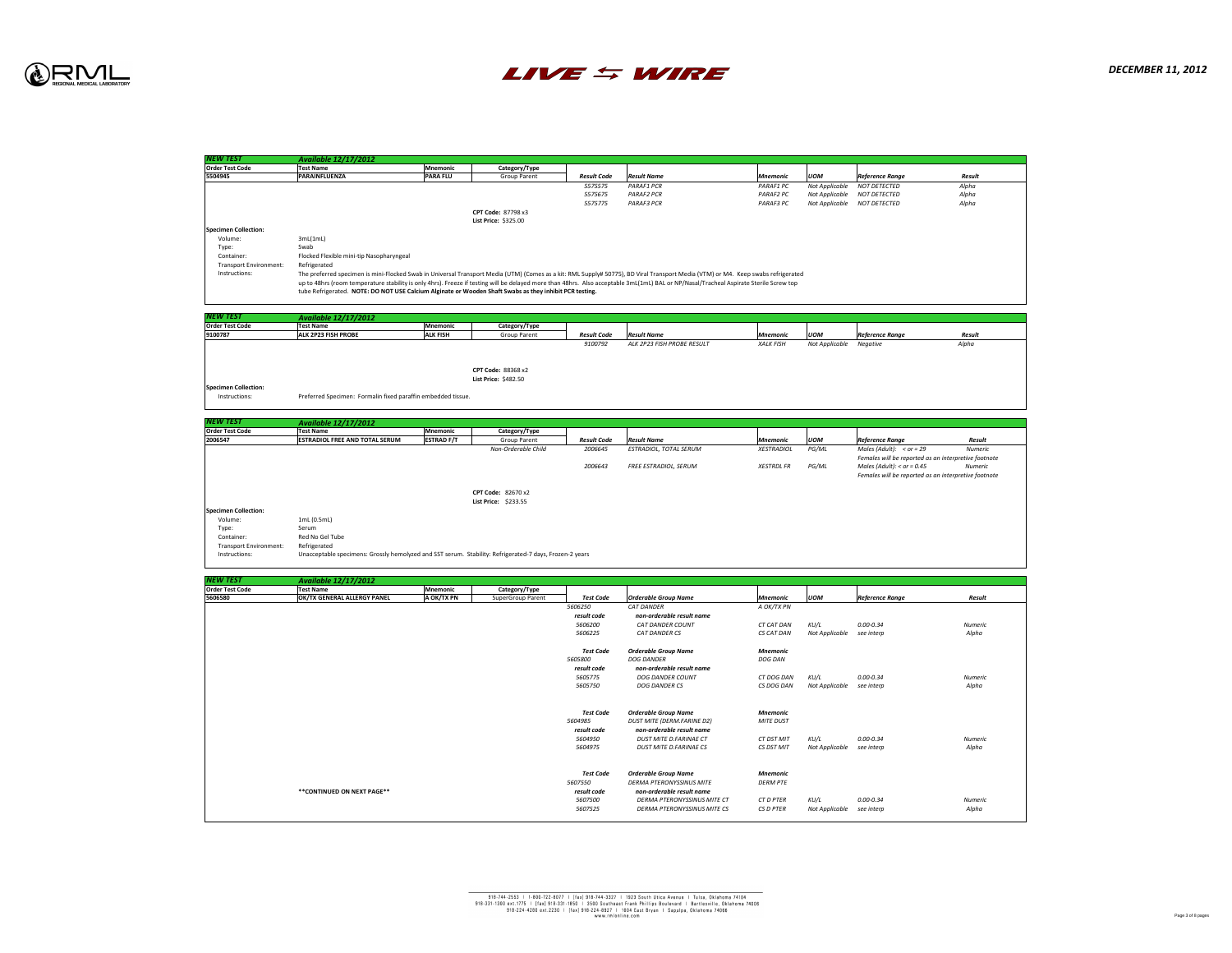

| <b>NEW TEST</b>                              | <b>Available 12/17/2012</b>                                                                                                                                                         |                   |                                                   |
|----------------------------------------------|-------------------------------------------------------------------------------------------------------------------------------------------------------------------------------------|-------------------|---------------------------------------------------|
| <b>Order Test Code</b>                       | <b>Test Name</b>                                                                                                                                                                    | <b>Mnemonic</b>   | Category/Type                                     |
| 5504945                                      | <b>PARAINFLUENZA</b>                                                                                                                                                                | <b>PARA FLU</b>   | <b>Group Parent</b>                               |
|                                              |                                                                                                                                                                                     |                   |                                                   |
|                                              |                                                                                                                                                                                     |                   | <b>CPT Code: 87798 x3</b><br>List Price: \$325.00 |
| <b>Specimen Collection:</b><br>Volume:       |                                                                                                                                                                                     |                   |                                                   |
|                                              | 3mL(1mL)<br>Swab                                                                                                                                                                    |                   |                                                   |
| Type:<br>Container:                          | Flocked Flexible mini-tip Nasopharyngeal                                                                                                                                            |                   |                                                   |
| <b>Transport Environment:</b>                | Refrigerated                                                                                                                                                                        |                   |                                                   |
| Instructions:                                | The preferred specimen is mini-Flocked Swab in Universal Transport Media (UTM) (Comes                                                                                               |                   |                                                   |
|                                              | up to 48hrs (room temperature stability is only 4hrs). Freeze if testing will be delayed more<br>tube Refrigerated. NOTE: DO NOT USE Calcium Alginate or Wooden Shaft Swabs as they |                   |                                                   |
|                                              |                                                                                                                                                                                     |                   |                                                   |
| INEW TEST<br><b>Order Test Code</b>          | <b>Available 12/17/2012</b><br><b>Test Name</b>                                                                                                                                     | <b>Mnemonic</b>   |                                                   |
| 9100787                                      | <b>ALK 2P23 FISH PROBE</b>                                                                                                                                                          | <b>ALK FISH</b>   | Category/Type<br><b>Group Parent</b>              |
|                                              |                                                                                                                                                                                     |                   |                                                   |
|                                              |                                                                                                                                                                                     |                   | <b>CPT Code: 88368 x2</b>                         |
|                                              |                                                                                                                                                                                     |                   | <b>List Price: \$482.50</b>                       |
| <b>Specimen Collection:</b><br>Instructions: | Preferred Specimen: Formalin fixed paraffin embedded tissue.                                                                                                                        |                   |                                                   |
| NEW TEST\                                    |                                                                                                                                                                                     |                   |                                                   |
| <b>Order Test Code</b>                       | <b>Available 12/17/2012</b><br><b>Test Name</b>                                                                                                                                     | <b>Mnemonic</b>   | Category/Type                                     |
| 2006547                                      | <b>ESTRADIOL FREE AND TOTAL SERUM</b>                                                                                                                                               | <b>ESTRAD F/T</b> | <b>Group Parent</b>                               |
|                                              |                                                                                                                                                                                     |                   |                                                   |
|                                              |                                                                                                                                                                                     |                   | <b>CPT Code: 82670 x2</b>                         |
| <b>Specimen Collection:</b>                  |                                                                                                                                                                                     |                   | <b>List Price: \$233.55</b>                       |
| Volume:                                      | 1mL (0.5mL)                                                                                                                                                                         |                   |                                                   |
| Type:                                        | Serum                                                                                                                                                                               |                   |                                                   |
| Container:                                   | Red No Gel Tube                                                                                                                                                                     |                   |                                                   |
| <b>Transport Environment:</b>                | Refrigerated                                                                                                                                                                        |                   |                                                   |
| Instructions:                                | Unacceptable specimens: Grossly hemolyzed and SST serum. Stability: Refrigerated-7 days                                                                                             |                   |                                                   |
| NEW TEST                                     | <b>Available 12/17/2012</b>                                                                                                                                                         |                   |                                                   |
| <b>Order Test Code</b>                       | <b>Test Name</b>                                                                                                                                                                    | <b>Mnemonic</b>   | Category/Type                                     |
| 5606580                                      | <b>OK/TX GENERAL ALLERGY PANEL</b>                                                                                                                                                  | A OK/TX PN        | <b>SuperGroup Parent</b>                          |
|                                              |                                                                                                                                                                                     |                   |                                                   |
|                                              |                                                                                                                                                                                     |                   |                                                   |
|                                              |                                                                                                                                                                                     |                   |                                                   |
|                                              |                                                                                                                                                                                     |                   |                                                   |
|                                              |                                                                                                                                                                                     |                   |                                                   |
|                                              |                                                                                                                                                                                     |                   |                                                   |
|                                              |                                                                                                                                                                                     |                   |                                                   |
|                                              |                                                                                                                                                                                     |                   |                                                   |
|                                              |                                                                                                                                                                                     |                   |                                                   |
|                                              |                                                                                                                                                                                     |                   |                                                   |
|                                              | **CONTINUED ON NEXT PAGE**                                                                                                                                                          |                   |                                                   |
|                                              |                                                                                                                                                                                     |                   |                                                   |
|                                              |                                                                                                                                                                                     |                   |                                                   |



# asopharyngeal

mini-Flocked Swab in Universal Transport Media (UTM) (Comes as a kit: RML Supply# 50775), BD Viral Transport Media (VTM) or M4. Keep swabs refrigerated ature stability is only 4hrs). Freeze if testing will be delayed more than 48hrs. Also acceptable 3mL(1mL) BAL or NP/Nasal/Tracheal Aspirate Sterile Screw top DO NOT USE Calcium Alginate or Wooden Shaft Swabs as they inhibit PCR testing.

Grossly hemolyzed and SST serum. Stability: Refrigerated-7 days, Frozen-2 years

| 'Mnemonic       | Category/Type             |                    |                    |                  |                |                        |               |
|-----------------|---------------------------|--------------------|--------------------|------------------|----------------|------------------------|---------------|
| <b>PARA FLU</b> | <b>Group Parent</b>       | <b>Result Code</b> | <b>Result Name</b> | <b>Mnemonic</b>  | <b>UOM</b>     | <b>Reference Range</b> | <b>Result</b> |
|                 |                           | 5575575            | <b>PARAF1 PCR</b>  | <b>PARAF1 PC</b> | Not Applicable | NOT DETECTED           | Alpha         |
|                 |                           | 5575675            | <b>PARAF2 PCR</b>  | <b>PARAF2 PC</b> | Not Applicable | NOT DETECTED           | Alpha         |
|                 |                           | 5575775            | <b>PARAF3 PCR</b>  | <b>PARAF3 PC</b> | Not Applicable | NOT DETECTED           | Alpha         |
|                 | <b>CPT Code: 87798 x3</b> |                    |                    |                  |                |                        |               |

| <b>Mnemonic</b> | Category/Type       |                    |                            |                  |                |                        |               |  |
|-----------------|---------------------|--------------------|----------------------------|------------------|----------------|------------------------|---------------|--|
| <b>ALK FISH</b> | <b>Group Parent</b> | <b>Result Code</b> | <b>Result Name</b>         | <b>Mnemonic</b>  | <b>UOM</b>     | <b>Reference Range</b> | <b>Result</b> |  |
|                 |                     | 9100792            | ALK 2P23 FISH PROBE RESULT | <b>XALK FISH</b> | Not Applicable | Negative               | Alpha         |  |
|                 |                     |                    |                            |                  |                |                        |               |  |
|                 |                     |                    |                            |                  |                |                        |               |  |

|              | <b>Mnemonic</b>   | Category/Type       |                    |                        |                   |            |                                                      |                |
|--------------|-------------------|---------------------|--------------------|------------------------|-------------------|------------|------------------------------------------------------|----------------|
| <b>SERUM</b> | <b>ESTRAD F/T</b> | <b>Group Parent</b> | <b>Result Code</b> | <b>Result Name</b>     | <b>Mnemonic</b>   | <b>UOM</b> | <b>Reference Range</b>                               | <b>Result</b>  |
|              |                   | Non-Orderable Child | 2006645            | ESTRADIOL, TOTAL SERUM | <b>XESTRADIOL</b> | PG/ML      | Males (Adult): $\langle$ or = 29                     | <b>Numeric</b> |
|              |                   |                     |                    |                        |                   |            | Females will be reported as an interpretive footnote |                |
|              |                   |                     | 2006643            | FREE ESTRADIOL, SERUM  | <b>XESTRDL FR</b> | PG/ML      | Males (Adult): $<$ or = 0.45                         | Numeric        |
|              |                   |                     |                    |                        |                   |            | Females will be reported as an interpretive footnote |                |

| <b>Available 12/17/2012</b> |                 |                          |                  |                                    |                   |                |                        |                |
|-----------------------------|-----------------|--------------------------|------------------|------------------------------------|-------------------|----------------|------------------------|----------------|
| <b>Test Name</b>            | <b>Mnemonic</b> | Category/Type            |                  |                                    |                   |                |                        |                |
| OK/TX GENERAL ALLERGY PANEL | A OK/TX PN      | <b>SuperGroup Parent</b> | Test Code        | <b>Orderable Group Name</b>        | <b>Mnemonic</b>   | <b>UOM</b>     | <b>Reference Range</b> | <b>Result</b>  |
|                             |                 |                          | 5606250          | <b>CAT DANDER</b>                  | A OK/TX PN        |                |                        |                |
|                             |                 |                          | result code      | non-orderable result name          |                   |                |                        |                |
|                             |                 |                          | 5606200          | <b>CAT DANDER COUNT</b>            | CT CAT DAN        | KU/L           | $0.00 - 0.34$          | Numeric        |
|                             |                 |                          | 5606225          | <b>CAT DANDER CS</b>               | CS CAT DAN        | Not Applicable | see interp             | Alpha          |
|                             |                 |                          | Test Code        | <b>Orderable Group Name</b>        | Mnemonic          |                |                        |                |
|                             |                 |                          | 5605800          | <b>DOG DANDER</b>                  | <b>DOG DAN</b>    |                |                        |                |
|                             |                 |                          | result code      | non-orderable result name          |                   |                |                        |                |
|                             |                 |                          | 5605775          | <b>DOG DANDER COUNT</b>            | <b>CT DOG DAN</b> | KU/L           | $0.00 - 0.34$          | <b>Numeric</b> |
|                             |                 |                          | 5605750          | <b>DOG DANDER CS</b>               | CS DOG DAN        | Not Applicable | see interp             | Alpha          |
|                             |                 |                          | <b>Test Code</b> | <b>Orderable Group Name</b>        | <b>Mnemonic</b>   |                |                        |                |
|                             |                 |                          | 5604985          | <b>DUST MITE (DERM.FARINE D2)</b>  | <b>MITE DUST</b>  |                |                        |                |
|                             |                 |                          | result code      | non-orderable result name          |                   |                |                        |                |
|                             |                 |                          | 5604950          | <b>DUST MITE D.FARINAE CT</b>      | CT DST MIT        | KU/L           | $0.00 - 0.34$          | <b>Numeric</b> |
|                             |                 |                          | 5604975          | <b>DUST MITE D.FARINAE CS</b>      | CS DST MIT        | Not Applicable | see interp             | Alpha          |
|                             |                 |                          |                  |                                    |                   |                |                        |                |
|                             |                 |                          | <b>Test Code</b> | <b>Orderable Group Name</b>        | <b>Mnemonic</b>   |                |                        |                |
|                             |                 |                          | 5607550          | <b>DERMA PTERONYSSINUS MITE</b>    | <b>DERM PTE</b>   |                |                        |                |
| **CONTINUED ON NEXT PAGE**  |                 |                          | result code      | non-orderable result name          |                   |                |                        |                |
|                             |                 |                          | 5607500          | <b>DERMA PTERONYSSINUS MITE CT</b> | CT D PTER         | KU/L           | 0.00-0.34              | <b>Numeric</b> |
|                             |                 |                          | 5607525          | DERMA PTERONYSSINUS MITE CS        | CS D PTER         | Not Applicable | see interp             | Alpha          |
|                             |                 |                          |                  |                                    |                   |                |                        |                |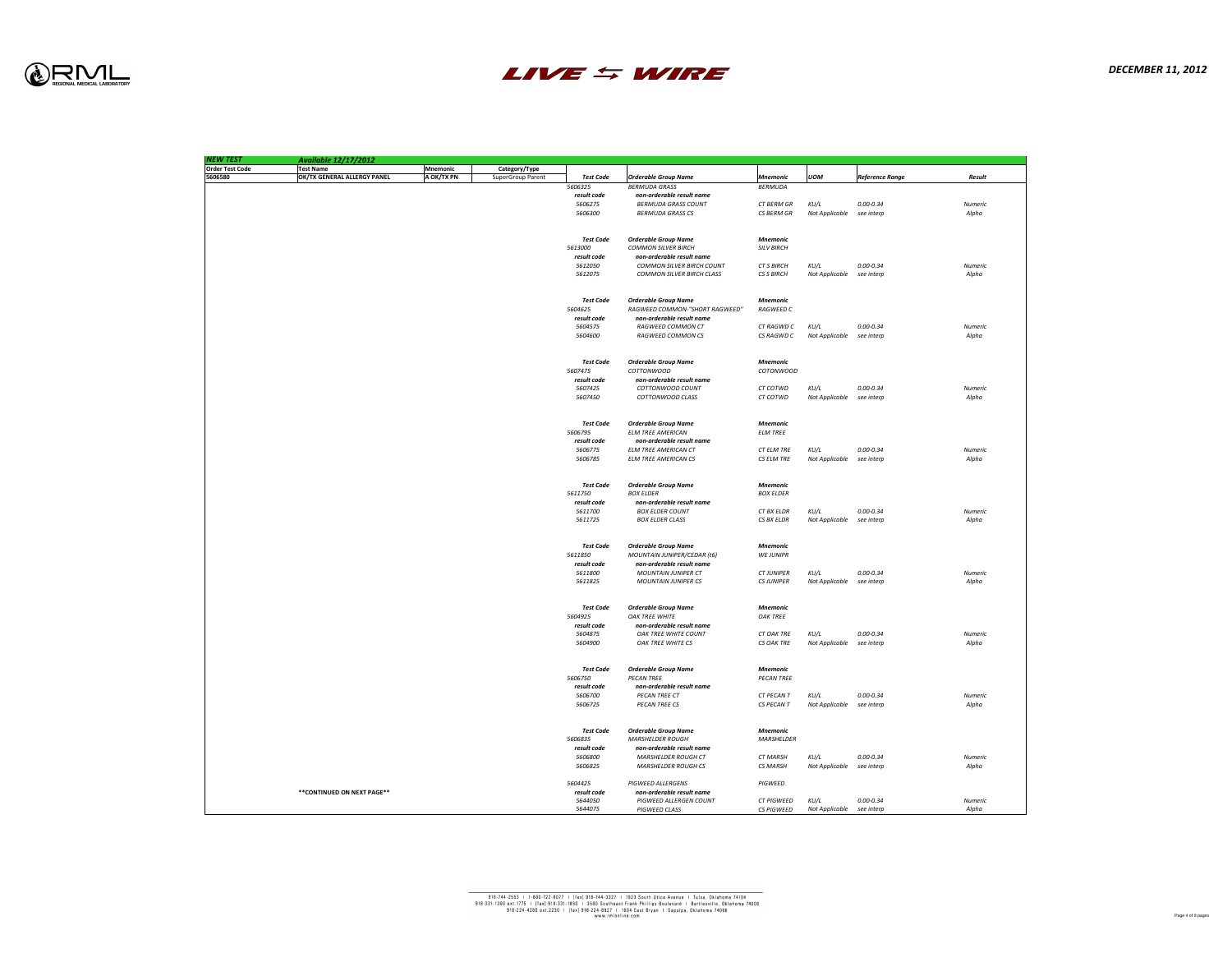

| <b>NEW TEST</b>        | <b>Available 12/17/2012</b>        |            |                          |                  |                                       |                   |                |                        |                |
|------------------------|------------------------------------|------------|--------------------------|------------------|---------------------------------------|-------------------|----------------|------------------------|----------------|
| <b>Order Test Code</b> | <b>Test Name</b>                   | Mnemonic   | Category/Type            |                  |                                       |                   |                |                        |                |
| 5606580                | <b>OK/TX GENERAL ALLERGY PANEL</b> | A OK/TX PN | <b>SuperGroup Parent</b> | <b>Test Code</b> | <b>Orderable Group Name</b>           | Mnemonic          | <b>UOM</b>     | <b>Reference Range</b> | Result         |
|                        |                                    |            |                          | 5606325          | <b>BERMUDA GRASS</b>                  | BERMUDA           |                |                        |                |
|                        |                                    |            |                          | result code      | non-orderable result name             |                   |                |                        |                |
|                        |                                    |            |                          | 5606275          | <b>BERMUDA GRASS COUNT</b>            | CT BERM GR        | KU/L           | $0.00 - 0.34$          | Numeric        |
|                        |                                    |            |                          | 5606300          | <b>BERMUDA GRASS CS</b>               | CS BERM GR        | Not Applicable | see interp             | Alpha          |
|                        |                                    |            |                          |                  |                                       |                   |                |                        |                |
|                        |                                    |            |                          |                  |                                       |                   |                |                        |                |
|                        |                                    |            |                          | <b>Test Code</b> | <b>Orderable Group Name</b>           | Mnemonic          |                |                        |                |
|                        |                                    |            |                          | 5613000          | <b>COMMON SILVER BIRCH</b>            | <b>SILV BIRCH</b> |                |                        |                |
|                        |                                    |            |                          | result code      | non-orderable result name             |                   |                |                        |                |
|                        |                                    |            |                          | 5612050          | <b>COMMON SILVER BIRCH COUNT</b>      | <b>CT S BIRCH</b> | KU/L           | $0.00 - 0.34$          | Numeric        |
|                        |                                    |            |                          | 5612075          | <b>COMMON SILVER BIRCH CLASS</b>      | <b>CS S BIRCH</b> | Not Applicable | see interp             | Alpha          |
|                        |                                    |            |                          |                  |                                       |                   |                |                        |                |
|                        |                                    |            |                          |                  |                                       |                   |                |                        |                |
|                        |                                    |            |                          | <b>Test Code</b> | <b>Orderable Group Name</b>           | <b>Mnemonic</b>   |                |                        |                |
|                        |                                    |            |                          | 5604625          | <b>RAGWEED COMMON-"SHORT RAGWEED"</b> | <b>RAGWEED C</b>  |                |                        |                |
|                        |                                    |            |                          | result code      | non-orderable result name             |                   |                |                        |                |
|                        |                                    |            |                          | 5604575          | <b>RAGWEED COMMON CT</b>              | CT RAGWD C        | KU/L           | $0.00 - 0.34$          | Numeric        |
|                        |                                    |            |                          | 5604600          | <b>RAGWEED COMMON CS</b>              | CS RAGWD C        | Not Applicable | see interp             | Alpha          |
|                        |                                    |            |                          |                  |                                       |                   |                |                        |                |
|                        |                                    |            |                          |                  |                                       |                   |                |                        |                |
|                        |                                    |            |                          | <b>Test Code</b> | <b>Orderable Group Name</b>           | <b>Mnemonic</b>   |                |                        |                |
|                        |                                    |            |                          | 5607475          | COTTONWOOD                            | COTONWOOD         |                |                        |                |
|                        |                                    |            |                          | result code      | non-orderable result name             |                   |                |                        |                |
|                        |                                    |            |                          |                  |                                       |                   |                |                        |                |
|                        |                                    |            |                          | 5607425          | COTTONWOOD COUNT                      | CT COTWD          | KU/L           | $0.00 - 0.34$          | Numeric        |
|                        |                                    |            |                          | 5607450          | COTTONWOOD CLASS                      | CT COTWD          | Not Applicable | see interp             | Alpha          |
|                        |                                    |            |                          |                  |                                       |                   |                |                        |                |
|                        |                                    |            |                          |                  |                                       |                   |                |                        |                |
|                        |                                    |            |                          | <b>Test Code</b> | <b>Orderable Group Name</b>           | <b>Mnemonic</b>   |                |                        |                |
|                        |                                    |            |                          | 5606795          | <b>ELM TREE AMERICAN</b>              | <b>ELM TREE</b>   |                |                        |                |
|                        |                                    |            |                          | result code      | non-orderable result name             |                   |                |                        |                |
|                        |                                    |            |                          | 5606775          | <b>ELM TREE AMERICAN CT</b>           | CT ELM TRE        | KU/L           | $0.00 - 0.34$          | Numeric        |
|                        |                                    |            |                          | 5606785          | <b>ELM TREE AMERICAN CS</b>           | CS ELM TRE        | Not Applicable | see interp             | Alpha          |
|                        |                                    |            |                          |                  |                                       |                   |                |                        |                |
|                        |                                    |            |                          |                  |                                       |                   |                |                        |                |
|                        |                                    |            |                          | <b>Test Code</b> | <b>Orderable Group Name</b>           | <b>Mnemonic</b>   |                |                        |                |
|                        |                                    |            |                          | 5611750          | <b>BOX ELDER</b>                      | <b>BOX ELDER</b>  |                |                        |                |
|                        |                                    |            |                          | result code      | non-orderable result name             |                   |                |                        |                |
|                        |                                    |            |                          | 5611700          | <b>BOX ELDER COUNT</b>                | CT BX ELDR        | KU/L           | $0.00 - 0.34$          | <b>Numeric</b> |
|                        |                                    |            |                          | 5611725          | <b>BOX ELDER CLASS</b>                | CS BX ELDR        | Not Applicable | see interp             | Alpha          |
|                        |                                    |            |                          |                  |                                       |                   |                |                        |                |
|                        |                                    |            |                          |                  |                                       |                   |                |                        |                |
|                        |                                    |            |                          | Test Code        | <b>Orderable Group Name</b>           | <b>Mnemonic</b>   |                |                        |                |
|                        |                                    |            |                          | 5611850          | MOUNTAIN JUNIPER/CEDAR (t6)           | <b>WE JUNIPR</b>  |                |                        |                |
|                        |                                    |            |                          | result code      | non-orderable result name             |                   |                |                        |                |
|                        |                                    |            |                          | 5611800          | <b>MOUNTAIN JUNIPER CT</b>            | <b>CT JUNIPER</b> | KU/L           | $0.00 - 0.34$          | Numeric        |
|                        |                                    |            |                          | 5611825          | <b>MOUNTAIN JUNIPER CS</b>            | <b>CS JUNIPER</b> | Not Applicable | see interp             | Alpha          |
|                        |                                    |            |                          |                  |                                       |                   |                |                        |                |
|                        |                                    |            |                          |                  |                                       |                   |                |                        |                |
|                        |                                    |            |                          | <b>Test Code</b> | <b>Orderable Group Name</b>           | <b>Mnemonic</b>   |                |                        |                |
|                        |                                    |            |                          | 5604925          | OAK TREE WHITE                        | <b>OAK TREE</b>   |                |                        |                |
|                        |                                    |            |                          | result code      | non-orderable result name             |                   |                |                        |                |
|                        |                                    |            |                          | 5604875          | <b>OAK TREE WHITE COUNT</b>           | <b>CT OAK TRE</b> | KU/L           | $0.00 - 0.34$          | Numeric        |
|                        |                                    |            |                          | 5604900          | OAK TREE WHITE CS                     | <b>CS OAK TRE</b> | Not Applicable | see interp             | Alpha          |
|                        |                                    |            |                          |                  |                                       |                   |                |                        |                |
|                        |                                    |            |                          |                  |                                       |                   |                |                        |                |
|                        |                                    |            |                          | Test Code        | <b>Orderable Group Name</b>           | <b>Mnemonic</b>   |                |                        |                |
|                        |                                    |            |                          | 5606750          | <b>PECAN TREE</b>                     | <b>PECAN TREE</b> |                |                        |                |
|                        |                                    |            |                          | result code      | non-orderable result name             |                   |                |                        |                |
|                        |                                    |            |                          | 5606700          | PECAN TREE CT                         | CT PECAN T        | KU/L           | $0.00 - 0.34$          | Numeric        |
|                        |                                    |            |                          | 5606725          | <b>PECAN TREE CS</b>                  | CS PECAN T        | Not Applicable | see interp             | Alpha          |
|                        |                                    |            |                          |                  |                                       |                   |                |                        |                |
|                        |                                    |            |                          |                  |                                       |                   |                |                        |                |
|                        |                                    |            |                          | Test Code        | <b>Orderable Group Name</b>           | Mnemonic          |                |                        |                |
|                        |                                    |            |                          | 5606835          | <b>MARSHELDER ROUGH</b>               | <b>MARSHELDER</b> |                |                        |                |
|                        |                                    |            |                          | result code      | non-orderable result name             |                   |                |                        |                |
|                        |                                    |            |                          | 5606800          | <b>MARSHELDER ROUGH CT</b>            | <b>CT MARSH</b>   | KU/L           | $0.00 - 0.34$          | Numeric        |
|                        |                                    |            |                          | 5606825          | <b>MARSHELDER ROUGH CS</b>            | <b>CS MARSH</b>   | Not Applicable | see interp             | Alpha          |
|                        |                                    |            |                          |                  |                                       |                   |                |                        |                |
|                        |                                    |            |                          | 5604425          | <b>PIGWEED ALLERGENS</b>              | PIGWEED           |                |                        |                |
|                        | ** CONTINUED ON NEXT PAGE **       |            |                          | result code      | non-orderable result name             |                   |                |                        |                |
|                        |                                    |            |                          | 5644050          | <b>PIGWEED ALLERGEN COUNT</b>         | <b>CT PIGWEED</b> | KU/L           | $0.00 - 0.34$          | Numeric        |
|                        |                                    |            |                          |                  | <b>PIGWEED CLASS</b>                  | <b>CS PIGWEED</b> | Not Applicable | see interp             | Alpha          |
|                        |                                    |            |                          | 5644075          |                                       |                   |                |                        |                |

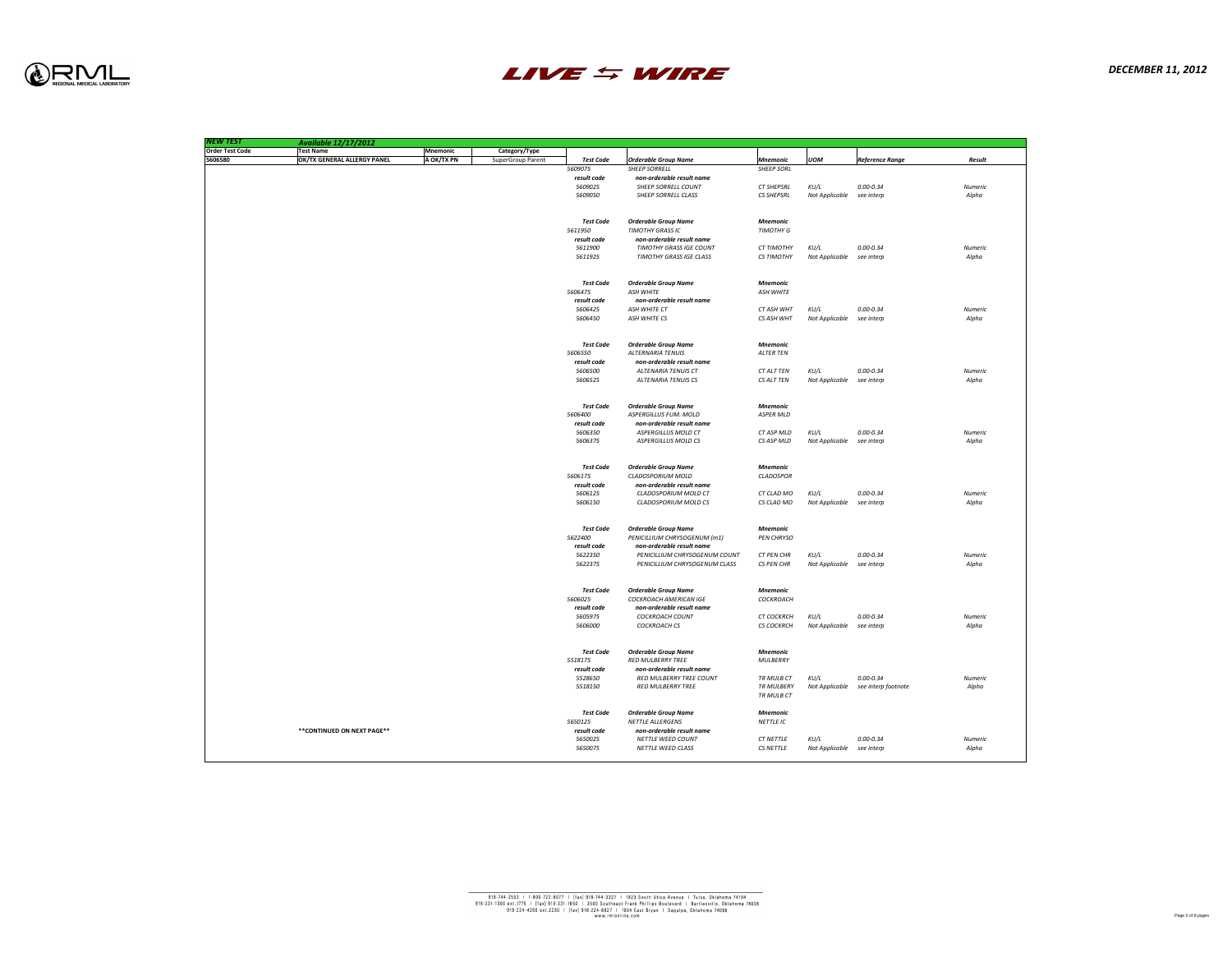

| <b>NEW TEST</b>        | Available 12/17/2012               |                 |                          |
|------------------------|------------------------------------|-----------------|--------------------------|
| <b>Order Test Code</b> | <b>Test Name</b>                   | <b>Mnemonic</b> | Category/Type            |
| 5606580                | <b>OK/TX GENERAL ALLERGY PANEL</b> | A OK/TX PN      | <b>SuperGroup Parent</b> |
|                        |                                    |                 |                          |
|                        |                                    |                 |                          |
|                        |                                    |                 |                          |
|                        |                                    |                 |                          |
|                        |                                    |                 |                          |
|                        |                                    |                 |                          |
|                        |                                    |                 |                          |
|                        |                                    |                 |                          |
|                        |                                    |                 |                          |
|                        |                                    |                 |                          |
|                        |                                    |                 |                          |
|                        |                                    |                 |                          |
|                        |                                    |                 |                          |
|                        |                                    |                 |                          |
|                        |                                    |                 |                          |
|                        |                                    |                 |                          |
|                        |                                    |                 |                          |
|                        |                                    |                 |                          |
|                        |                                    |                 |                          |
|                        |                                    |                 |                          |
|                        |                                    |                 |                          |
|                        |                                    |                 |                          |
|                        |                                    |                 |                          |
|                        |                                    |                 |                          |
|                        |                                    |                 |                          |
|                        |                                    |                 |                          |
|                        |                                    |                 |                          |
|                        |                                    |                 |                          |
|                        |                                    |                 |                          |
|                        |                                    |                 |                          |
|                        |                                    |                 |                          |
|                        |                                    |                 |                          |
|                        |                                    |                 |                          |
|                        |                                    |                 |                          |
|                        |                                    |                 |                          |
|                        |                                    |                 |                          |
|                        |                                    |                 |                          |
|                        |                                    |                 |                          |
|                        |                                    |                 |                          |
|                        |                                    |                 |                          |
|                        |                                    |                 |                          |
|                        |                                    |                 |                          |
|                        |                                    |                 |                          |
|                        |                                    |                 |                          |
|                        |                                    |                 |                          |
|                        |                                    |                 |                          |
|                        |                                    |                 |                          |
|                        |                                    |                 |                          |
|                        |                                    |                 |                          |
|                        |                                    |                 |                          |
|                        |                                    |                 |                          |
|                        |                                    |                 |                          |
|                        |                                    |                 |                          |
|                        |                                    |                 |                          |
|                        |                                    |                 |                          |
|                        |                                    |                 |                          |
|                        | ** CONTINUED ON NEXT PAGE**        |                 |                          |
|                        |                                    |                 |                          |
|                        |                                    |                 |                          |
|                        |                                    |                 |                          |



| <b>Test Code</b> | <b>Orderable Group Name</b>    | <b>Mnemonic</b>   | <b>UOM</b>            | <b>Reference Range</b> | <b>Result</b>  |
|------------------|--------------------------------|-------------------|-----------------------|------------------------|----------------|
| 5609075          | <b>SHEEP SORRELL</b>           | <b>SHEEP SORL</b> |                       |                        |                |
| result code      | non-orderable result name      |                   |                       |                        |                |
| 5609025          | <b>SHEEP SORRELL COUNT</b>     | <b>CT SHEPSRL</b> | KU/L                  | $0.00 - 0.34$          | <b>Numeric</b> |
| 5609050          | <b>SHEEP SORRELL CLASS</b>     | <b>CS SHEPSRL</b> | <b>Not Applicable</b> | see interp             | Alpha          |
|                  |                                |                   |                       |                        |                |
| <b>Test Code</b> | <b>Orderable Group Name</b>    | <b>Mnemonic</b>   |                       |                        |                |
| 5611950          | <b>TIMOTHY GRASS IC</b>        | <b>TIMOTHY G</b>  |                       |                        |                |
| result code      | non-orderable result name      |                   |                       |                        |                |
| 5611900          | <b>TIMOTHY GRASS IGE COUNT</b> | <b>CT TIMOTHY</b> | KU/L                  | $0.00 - 0.34$          | <b>Numeric</b> |
| 5611925          | <b>TIMOTHY GRASS IGE CLASS</b> | <b>CS TIMOTHY</b> | <b>Not Applicable</b> | see interp             | Alpha          |
| <b>Test Code</b> | <b>Orderable Group Name</b>    | <b>Mnemonic</b>   |                       |                        |                |
| 5606475          | <b>ASH WHITE</b>               | <b>ASH WHITE</b>  |                       |                        |                |
| result code      | non-orderable result name      |                   |                       |                        |                |
| 5606425          | <b>ASH WHITE CT</b>            | <b>CT ASH WHT</b> | KU/L                  | $0.00 - 0.34$          | <b>Numeric</b> |
| 5606450          | <b>ASH WHITE CS</b>            | CS ASH WHT        | <b>Not Applicable</b> | see interp             | Alpha          |
| <b>Test Code</b> | <b>Orderable Group Name</b>    | <b>Mnemonic</b>   |                       |                        |                |
| 5606550          | <b>ALTERNARIA TENUIS</b>       | <b>ALTER TEN</b>  |                       |                        |                |
| result code      | non-orderable result name      |                   |                       |                        |                |
| 5606500          | <b>ALTENARIA TENUIS CT</b>     | <b>CT ALT TEN</b> | KU/L                  | $0.00 - 0.34$          | <b>Numeric</b> |
| 5606525          | <b>ALTENARIA TENUIS CS</b>     | CS ALT TEN        | <b>Not Applicable</b> | see interp             | Alpha          |
|                  |                                |                   |                       |                        |                |
| <b>Test Code</b> | <b>Orderable Group Name</b>    | <b>Mnemonic</b>   |                       |                        |                |
| <i>5606400</i>   | <b>ASPERGILLUS FUM. MOLD</b>   | <b>ASPER MLD</b>  |                       |                        |                |
| result code      | non-orderable result name      |                   |                       |                        |                |
| 5606350          | <b>ASPERGILLUS MOLD CT</b>     | <b>CT ASP MLD</b> | KU/L                  | $0.00 - 0.34$          | <b>Numeric</b> |
| 5606375          | <b>ASPERGILLUS MOLD CS</b>     | CS ASP MLD        | <b>Not Applicable</b> | see interp             | Alpha          |
| <b>Test Code</b> | <b>Orderable Group Name</b>    | <b>Mnemonic</b>   |                       |                        |                |
| 5606175          | <b>CLADOSPORIUM MOLD</b>       | <b>CLADOSPOR</b>  |                       |                        |                |
| result code      | non-orderable result name      |                   |                       |                        |                |
| 5606125          | <b>CLADOSPORIUM MOLD CT</b>    | <b>CT CLAD MO</b> | KU/L                  | $0.00 - 0.34$          | <b>Numeric</b> |
| 5606150          | <b>CLADOSPORIUM MOLD CS</b>    | CS CLAD MO        | <b>Not Applicable</b> | see interp             | Alpha          |
|                  |                                |                   |                       |                        |                |
| <b>Test Code</b> | <b>Orderable Group Name</b>    | <b>Mnemonic</b>   |                       |                        |                |
| <i>5622400</i>   | PENICILLIUM CHRYSOGENUM (m1)   | <b>PEN CHRYSO</b> |                       |                        |                |
| result code      | non-orderable result name      |                   |                       |                        |                |
| 5622350          | PENICILLIUM CHRYSOGENUM COUNT  | <b>CT PEN CHR</b> | KU/L                  | $0.00 - 0.34$          | <b>Numeric</b> |
| 5622375          | PENICILLIUM CHRYSOGENUM CLASS  | <b>CS PEN CHR</b> | <b>Not Applicable</b> | see interp             | Alpha          |
| <b>Test Code</b> | <b>Orderable Group Name</b>    | <b>Mnemonic</b>   |                       |                        |                |
| <i>5606025</i>   | <b>COCKROACH AMERICAN IGE</b>  | <b>COCKROACH</b>  |                       |                        |                |
| result code      | non-orderable result name      |                   |                       |                        |                |
| 5605975          | <b>COCKROACH COUNT</b>         | <b>CT COCKRCH</b> | KU/L                  | $0.00 - 0.34$          | <b>Numeric</b> |
| 5606000          | <b>COCKROACH CS</b>            | <b>CS COCKRCH</b> | <b>Not Applicable</b> | see interp             | Alpha          |
| <b>Test Code</b> | <b>Orderable Group Name</b>    | <b>Mnemonic</b>   |                       |                        |                |
| 5518175          | <b>RED MULBERRY TREE</b>       | <b>MULBERRY</b>   |                       |                        |                |
| result code      | non-orderable result name      |                   |                       |                        |                |
| 5528650          | <b>RED MULBERRY TREE COUNT</b> | TR MULB CT        | KU/L                  | $0.00 - 0.34$          | <b>Numeric</b> |
| 5518150          | <b>RED MULBERRY TREE</b>       | <b>TR MULBERY</b> | <b>Not Applicable</b> | see interp footnote    | Alpha          |
|                  |                                | TR MULB CT        |                       |                        |                |
| <b>Test Code</b> | <b>Orderable Group Name</b>    | <b>Mnemonic</b>   |                       |                        |                |
| 5650125          | <b>NETTLE ALLERGENS</b>        | <b>NETTLE IC</b>  |                       |                        |                |
| result code      | non-orderable result name      |                   |                       |                        |                |
| 5650025          | <b>NETTLE WEED COUNT</b>       | <b>CT NETTLE</b>  | KU/L                  | $0.00 - 0.34$          | <b>Numeric</b> |
| 5650075          | <b>NETTLE WEED CLASS</b>       | CS NETTLE         | <b>Not Applicable</b> | see interp             | Alpha          |

| <b>Test Name</b>            | Mnemonic          | Category/Type            |                        |                                                          |                                 |
|-----------------------------|-------------------|--------------------------|------------------------|----------------------------------------------------------|---------------------------------|
| OK/TX GENERAL ALLERGY PANEL | <b>A OK/TX PN</b> | <b>SuperGroup Parent</b> | <b>Test Code</b>       | <b>Orderable Group Name</b>                              | <b>Mnemonic</b>                 |
|                             |                   |                          | 5609075                | <b>SHEEP SORRELL</b><br>non-orderable result name        | <b>SHEEP SORL</b>               |
|                             |                   |                          | result code<br>5609025 | <b>SHEEP SORRELL COUNT</b>                               | <b>CT SHEPSRL</b>               |
|                             |                   |                          | 5609050                | <b>SHEEP SORRELL CLASS</b>                               | <b>CS SHEPSRL</b>               |
|                             |                   |                          |                        |                                                          |                                 |
|                             |                   |                          | <b>Test Code</b>       | <b>Orderable Group Name</b>                              | <b>Mnemonic</b>                 |
|                             |                   |                          | 5611950                | <b>TIMOTHY GRASS IC</b>                                  | <b>TIMOTHY G</b>                |
|                             |                   |                          | result code            | non-orderable result name                                |                                 |
|                             |                   |                          | 5611900                | <b>TIMOTHY GRASS IGE COUNT</b>                           | <b>CT TIMOTHY</b>               |
|                             |                   |                          | 5611925                | <b>TIMOTHY GRASS IGE CLASS</b>                           | <b>CS TIMOTHY</b>               |
|                             |                   |                          | <b>Test Code</b>       | <b>Orderable Group Name</b>                              | <b>Mnemonic</b>                 |
|                             |                   |                          | 5606475                | <b>ASH WHITE</b>                                         | <b>ASH WHITE</b>                |
|                             |                   |                          | result code            | non-orderable result name                                |                                 |
|                             |                   |                          | 5606425                | <b>ASH WHITE CT</b>                                      | <b>CT ASH WHT</b>               |
|                             |                   |                          | 5606450                | <b>ASH WHITE CS</b>                                      | CS ASH WHT                      |
|                             |                   |                          | <b>Test Code</b>       |                                                          | <b>Mnemonic</b>                 |
|                             |                   |                          | 5606550                | <b>Orderable Group Name</b><br><b>ALTERNARIA TENUIS</b>  | <b>ALTER TEN</b>                |
|                             |                   |                          | result code            | non-orderable result name                                |                                 |
|                             |                   |                          | 5606500                | <b>ALTENARIA TENUIS CT</b>                               | CT ALT TEN                      |
|                             |                   |                          | 5606525                | <b>ALTENARIA TENUIS CS</b>                               | CS ALT TEN                      |
|                             |                   |                          |                        |                                                          |                                 |
|                             |                   |                          | <b>Test Code</b>       | <b>Orderable Group Name</b>                              | <b>Mnemonic</b>                 |
|                             |                   |                          | 5606400                | <b>ASPERGILLUS FUM. MOLD</b>                             | <b>ASPER MLD</b>                |
|                             |                   |                          | result code            | non-orderable result name                                |                                 |
|                             |                   |                          | 5606350<br>5606375     | <b>ASPERGILLUS MOLD CT</b><br><b>ASPERGILLUS MOLD CS</b> | CT ASP MLD<br>CS ASP MLD        |
|                             |                   |                          |                        |                                                          |                                 |
|                             |                   |                          | <b>Test Code</b>       | <b>Orderable Group Name</b>                              | <b>Mnemonic</b>                 |
|                             |                   |                          | 5606175                | <b>CLADOSPORIUM MOLD</b>                                 | <b>CLADOSPOR</b>                |
|                             |                   |                          | result code            | non-orderable result name                                |                                 |
|                             |                   |                          | 5606125                | <b>CLADOSPORIUM MOLD CT</b>                              | <b>CT CLAD MO</b><br>CS CLAD MO |
|                             |                   |                          | 5606150                | <b>CLADOSPORIUM MOLD CS</b>                              |                                 |
|                             |                   |                          | <b>Test Code</b>       | <b>Orderable Group Name</b>                              | <b>Mnemonic</b>                 |
|                             |                   |                          | 5622400                | <b>PENICILLIUM CHRYSOGENUM (m1)</b>                      | <b>PEN CHRYSO</b>               |
|                             |                   |                          | result code            | non-orderable result name                                |                                 |
|                             |                   |                          | 5622350                | PENICILLIUM CHRYSOGENUM COUNT                            | <b>CT PEN CHR</b>               |
|                             |                   |                          | 5622375                | PENICILLIUM CHRYSOGENUM CLASS                            | <b>CS PEN CHR</b>               |
|                             |                   |                          | <b>Test Code</b>       | <b>Orderable Group Name</b>                              | <b>Mnemonic</b>                 |
|                             |                   |                          | 5606025                | <b>COCKROACH AMERICAN IGE</b>                            | COCKROACH                       |
|                             |                   |                          | result code            | non-orderable result name                                |                                 |
|                             |                   |                          | 5605975                | <b>COCKROACH COUNT</b>                                   | <b>CT COCKRCH</b>               |
|                             |                   |                          | 5606000                | <b>COCKROACH CS</b>                                      | <b>CS COCKRCH</b>               |
|                             |                   |                          | <b>Test Code</b>       | <b>Orderable Group Name</b>                              | <b>Mnemonic</b>                 |
|                             |                   |                          | 5518175                | <b>RED MULBERRY TREE</b>                                 | <b>MULBERRY</b>                 |
|                             |                   |                          | result code            | non-orderable result name                                |                                 |
|                             |                   |                          | 5528650                | <b>RED MULBERRY TREE COUNT</b>                           | <b>TR MULB CT</b>               |
|                             |                   |                          | 5518150                | <b>RED MULBERRY TREE</b>                                 | <b>TR MULBERY</b>               |
|                             |                   |                          |                        |                                                          | TR MULB CT                      |
|                             |                   |                          | <b>Test Code</b>       | <b>Orderable Group Name</b>                              | <b>Mnemonic</b>                 |
|                             |                   |                          | 5650125                | <b>NETTLE ALLERGENS</b>                                  | <b>NETTLE IC</b>                |
| **CONTINUED ON NEXT PAGE**  |                   |                          | result code<br>5650025 | non-orderable result name<br><b>NETTLE WEED COUNT</b>    | <b>CT NETTLE</b>                |
|                             |                   |                          |                        |                                                          |                                 |
|                             |                   |                          | 5650075                | <b>NETTLE WEED CLASS</b>                                 | CS NETTLE                       |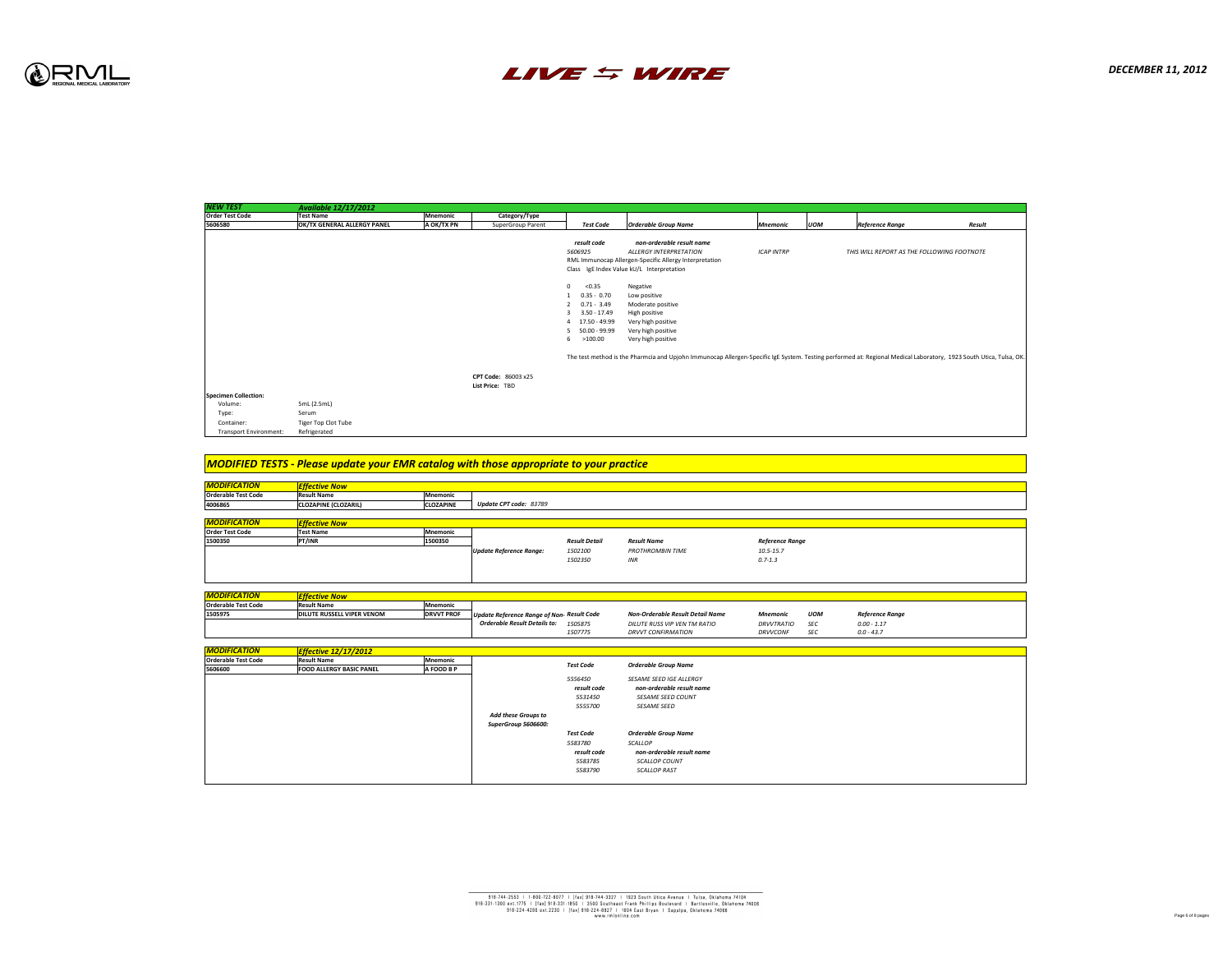

| <b>NEW TEST</b>                   | <b>Available 12/17/2012</b>     |                   |                                                   |
|-----------------------------------|---------------------------------|-------------------|---------------------------------------------------|
| <b>Order Test Code</b>            | <b>Test Name</b>                | <b>Mnemonic</b>   | Category/Type                                     |
| 5606580                           | OK/TX GENERAL ALLERGY PANEL     | A OK/TX PN        | <b>SuperGroup Parent</b>                          |
|                                   |                                 |                   |                                                   |
|                                   |                                 |                   |                                                   |
|                                   |                                 |                   |                                                   |
|                                   |                                 |                   |                                                   |
|                                   |                                 |                   |                                                   |
|                                   |                                 |                   |                                                   |
|                                   |                                 |                   |                                                   |
|                                   |                                 |                   |                                                   |
|                                   |                                 |                   |                                                   |
|                                   |                                 |                   |                                                   |
|                                   |                                 |                   |                                                   |
|                                   |                                 |                   |                                                   |
|                                   |                                 |                   |                                                   |
|                                   |                                 |                   |                                                   |
|                                   |                                 |                   |                                                   |
|                                   |                                 |                   | <b>CPT Code: 86003 x25</b>                        |
|                                   |                                 |                   | List Price: TBD                                   |
| <b>Specimen Collection:</b>       |                                 |                   |                                                   |
| Volume:                           | 5mL (2.5mL)                     |                   |                                                   |
| Type:                             | Serum                           |                   |                                                   |
| Container:                        | <b>Tiger Top Clot Tube</b>      |                   |                                                   |
| <b>Transport Environment:</b>     | Refrigerated                    |                   |                                                   |
|                                   |                                 |                   |                                                   |
|                                   |                                 |                   |                                                   |
|                                   |                                 |                   |                                                   |
| <b>MODIFICATION</b>               | <b>Effective Now</b>            |                   |                                                   |
| <b>Orderable Test Code</b>        | <b>Result Name</b>              | <b>Mnemonic</b>   |                                                   |
| 4006865                           | <b>CLOZAPINE (CLOZARIL)</b>     | <b>CLOZAPINE</b>  | <b>Update CPT code: 83789</b>                     |
|                                   |                                 |                   |                                                   |
| <b>MODIFICATION</b>               | <b>Effective Now</b>            |                   |                                                   |
| <b>Order Test Code</b><br>1500350 | <b>Test Name</b>                | <b>Mnemonic</b>   |                                                   |
|                                   | PT/INR                          | 1500350           |                                                   |
|                                   |                                 |                   | <b>Update Reference Range:</b>                    |
|                                   |                                 |                   |                                                   |
|                                   |                                 |                   |                                                   |
|                                   |                                 |                   |                                                   |
| <b>MODIFICATION</b>               | <b>Effective Now</b>            |                   |                                                   |
| <b>Orderable Test Code</b>        | <b>Result Name</b>              | <b>Mnemonic</b>   |                                                   |
| 1505975                           | DILUTE RUSSELL VIPER VENOM      | <b>DRVVT PROF</b> | <b>Update Reference Range of</b>                  |
|                                   |                                 |                   | <b>Orderable Result Details</b>                   |
|                                   |                                 |                   |                                                   |
|                                   |                                 |                   |                                                   |
| <b>MODIFICATION</b>               | <b>Effective 12/17/2012</b>     |                   |                                                   |
| <b>Orderable Test Code</b>        | <b>Result Name</b>              | <b>Mnemonic</b>   |                                                   |
| 5606600                           | <b>FOOD ALLERGY BASIC PANEL</b> | A FOOD B P        |                                                   |
|                                   |                                 |                   |                                                   |
|                                   |                                 |                   |                                                   |
|                                   |                                 |                   |                                                   |
|                                   |                                 |                   |                                                   |
|                                   |                                 |                   |                                                   |
|                                   |                                 |                   | <b>Add these Groups to</b><br>SuperGroup 5606600: |



| NEW IESI                      | <b>Available 12/17/2012</b>                                                                    |                   |                                                   |                                                                                    |                                                                                                                                                                               |                        |            |                                            |        |
|-------------------------------|------------------------------------------------------------------------------------------------|-------------------|---------------------------------------------------|------------------------------------------------------------------------------------|-------------------------------------------------------------------------------------------------------------------------------------------------------------------------------|------------------------|------------|--------------------------------------------|--------|
| <b>Order Test Code</b>        | <b>Test Name</b>                                                                               | Mnemonic          | Category/Type                                     |                                                                                    |                                                                                                                                                                               |                        |            |                                            |        |
| 5606580                       | <b>OK/TX GENERAL ALLERGY PANEL</b>                                                             | A OK/TX PN        | <b>SuperGroup Parent</b>                          | <b>Test Code</b>                                                                   | <b>Orderable Group Name</b>                                                                                                                                                   | Mnemonic               | <b>UOM</b> | <b>Reference Range</b>                     | Result |
|                               |                                                                                                |                   |                                                   | result code<br>5606925<br>< 0.35<br>$\overline{0}$                                 | non-orderable result name<br><b>ALLERGY INTERPRETATION</b><br>RML Immunocap Allergen-Specific Allergy Interpretation<br>Class IgE Index Value kU/L Interpretation<br>Negative | <b>ICAP INTRP</b>      |            | THIS WILL REPORT AS THE FOLLOWING FOOTNOTE |        |
|                               |                                                                                                |                   |                                                   | $1 \t 0.35 - 0.70$<br>$2$ 0.71 - 3.49<br>$3 \quad 3.50 - 17.49$<br>4 17.50 - 49.99 | Low positive<br>Moderate positive<br>High positive<br>Very high positive                                                                                                      |                        |            |                                            |        |
|                               |                                                                                                |                   |                                                   | 5 50.00 - 99.99<br>>100.00<br>6                                                    | Very high positive<br>Very high positive                                                                                                                                      |                        |            |                                            |        |
|                               |                                                                                                |                   |                                                   |                                                                                    | The test method is the Pharmcia and Upjohn Immunocap Allergen-Specific IgE System. Testing performed at: Regional Medical Laboratory, 1923 South Utica, Tulsa, OK             |                        |            |                                            |        |
|                               |                                                                                                |                   | <b>CPT Code: 86003 x25</b><br>List Price: TBD     |                                                                                    |                                                                                                                                                                               |                        |            |                                            |        |
| <b>Specimen Collection:</b>   |                                                                                                |                   |                                                   |                                                                                    |                                                                                                                                                                               |                        |            |                                            |        |
| Volume:                       | 5mL (2.5mL)                                                                                    |                   |                                                   |                                                                                    |                                                                                                                                                                               |                        |            |                                            |        |
| Type:                         | Serum                                                                                          |                   |                                                   |                                                                                    |                                                                                                                                                                               |                        |            |                                            |        |
| Container:                    | <b>Tiger Top Clot Tube</b>                                                                     |                   |                                                   |                                                                                    |                                                                                                                                                                               |                        |            |                                            |        |
| <b>Transport Environment:</b> | Refrigerated                                                                                   |                   |                                                   |                                                                                    |                                                                                                                                                                               |                        |            |                                            |        |
|                               |                                                                                                |                   |                                                   |                                                                                    |                                                                                                                                                                               |                        |            |                                            |        |
|                               |                                                                                                |                   |                                                   |                                                                                    |                                                                                                                                                                               |                        |            |                                            |        |
|                               | <b>MODIFIED TESTS - Please update your EMR catalog with those appropriate to your practice</b> |                   |                                                   |                                                                                    |                                                                                                                                                                               |                        |            |                                            |        |
| <b>MODIFICATION</b>           | <b>Effective Now</b>                                                                           |                   |                                                   |                                                                                    |                                                                                                                                                                               |                        |            |                                            |        |
| <b>Orderable Test Code</b>    | <b>Result Name</b>                                                                             | Mnemonic          |                                                   |                                                                                    |                                                                                                                                                                               |                        |            |                                            |        |
| 4006865                       | <b>CLOZAPINE (CLOZARIL)</b>                                                                    | <b>CLOZAPINE</b>  | <b>Update CPT code: 83789</b>                     |                                                                                    |                                                                                                                                                                               |                        |            |                                            |        |
|                               |                                                                                                |                   |                                                   |                                                                                    |                                                                                                                                                                               |                        |            |                                            |        |
| <b>MODIFICATION</b>           | <b>Effective Now</b>                                                                           |                   |                                                   |                                                                                    |                                                                                                                                                                               |                        |            |                                            |        |
| <b>Order Test Code</b>        | <b>Test Name</b>                                                                               | Mnemonic          |                                                   |                                                                                    |                                                                                                                                                                               |                        |            |                                            |        |
| 1500350                       | <b>PT/INR</b>                                                                                  | 1500350           |                                                   | <b>Result Detail</b>                                                               | <b>Result Name</b>                                                                                                                                                            | <b>Reference Range</b> |            |                                            |        |
|                               |                                                                                                |                   | Update Reference Range:                           | 1502100                                                                            | <b>PROTHROMBIN TIME</b>                                                                                                                                                       | $10.5 - 15.7$          |            |                                            |        |
|                               |                                                                                                |                   |                                                   | 1502350                                                                            | INR                                                                                                                                                                           | $0.7 - 1.3$            |            |                                            |        |
|                               |                                                                                                |                   |                                                   |                                                                                    |                                                                                                                                                                               |                        |            |                                            |        |
| <b>MODIFICATION</b>           | <b>Effective Now</b>                                                                           |                   |                                                   |                                                                                    |                                                                                                                                                                               |                        |            |                                            |        |
| <b>Orderable Test Code</b>    | <b>Result Name</b>                                                                             | Mnemonic          |                                                   |                                                                                    |                                                                                                                                                                               |                        |            |                                            |        |
| 1505975                       | <b>DILUTE RUSSELL VIPER VENOM</b>                                                              | <b>DRVVT PROF</b> | <b>Update Reference Range of Non- Result Code</b> |                                                                                    | <b>Non-Orderable Result Detail Name</b>                                                                                                                                       | Mnemonic               | UOM        | <b>Reference Range</b>                     |        |
|                               |                                                                                                |                   | <b>Orderable Result Details to:</b>               | 1505875                                                                            | DILUTE RUSS VIP VEN TM RATIO                                                                                                                                                  | DRVVTRATIO             | SEC        | $0.00 - 1.17$                              |        |
|                               |                                                                                                |                   |                                                   | 1507775                                                                            | <b>DRVVT CONFIRMATION</b>                                                                                                                                                     | DRVVCONF               | SEC        | $0.0 - 43.7$                               |        |
|                               |                                                                                                |                   |                                                   |                                                                                    |                                                                                                                                                                               |                        |            |                                            |        |
| <u>MODIFICATION</u>           | <b>Effective 12/17/2012</b>                                                                    |                   |                                                   |                                                                                    |                                                                                                                                                                               |                        |            |                                            |        |
| <b>Orderable Test Code</b>    | <b>Result Name</b>                                                                             | Mnemonic          |                                                   |                                                                                    |                                                                                                                                                                               |                        |            |                                            |        |
| 5606600                       | <b>FOOD ALLERGY BASIC PANEL</b>                                                                | <b>A FOOD B P</b> |                                                   | <b>Test Code</b>                                                                   | <b>Orderable Group Name</b>                                                                                                                                                   |                        |            |                                            |        |
|                               |                                                                                                |                   |                                                   | 5556450                                                                            | <b>SESAME SEED IGE ALLERGY</b>                                                                                                                                                |                        |            |                                            |        |
|                               |                                                                                                |                   |                                                   | result code                                                                        | non-orderable result name                                                                                                                                                     |                        |            |                                            |        |
|                               |                                                                                                |                   |                                                   | 5531450                                                                            | <b>SESAME SEED COUNT</b>                                                                                                                                                      |                        |            |                                            |        |
|                               |                                                                                                |                   |                                                   |                                                                                    |                                                                                                                                                                               |                        |            |                                            |        |
|                               |                                                                                                |                   |                                                   | 5555700                                                                            | <b>SESAME SEED</b>                                                                                                                                                            |                        |            |                                            |        |
|                               |                                                                                                |                   | <b>Add these Groups to</b>                        |                                                                                    |                                                                                                                                                                               |                        |            |                                            |        |
|                               |                                                                                                |                   | <b>SuperGroup 5606600:</b>                        |                                                                                    |                                                                                                                                                                               |                        |            |                                            |        |
|                               |                                                                                                |                   |                                                   | Test Code                                                                          | <b>Orderable Group Name</b>                                                                                                                                                   |                        |            |                                            |        |
|                               |                                                                                                |                   |                                                   | 5583780                                                                            | SCALLOP                                                                                                                                                                       |                        |            |                                            |        |
|                               |                                                                                                |                   |                                                   | result code                                                                        | non-orderable result name                                                                                                                                                     |                        |            |                                            |        |
|                               |                                                                                                |                   |                                                   | 5583785                                                                            | <b>SCALLOP COUNT</b>                                                                                                                                                          |                        |            |                                            |        |
|                               |                                                                                                |                   |                                                   | 5583790                                                                            | <b>SCALLOP RAST</b>                                                                                                                                                           |                        |            |                                            |        |
|                               |                                                                                                |                   |                                                   |                                                                                    |                                                                                                                                                                               |                        |            |                                            |        |

|     | Mnemonic          | Category/Type                                           |                                                                                                                                         |                                                                                                                                                                    |                        |            |                                            |        |
|-----|-------------------|---------------------------------------------------------|-----------------------------------------------------------------------------------------------------------------------------------------|--------------------------------------------------------------------------------------------------------------------------------------------------------------------|------------------------|------------|--------------------------------------------|--------|
| NEL | A OK/TX PN        | <b>SuperGroup Parent</b>                                | Test Code                                                                                                                               | <b>Orderable Group Name</b>                                                                                                                                        | Mnemonic               | <b>UOM</b> | <b>Reference Range</b>                     | Result |
|     |                   |                                                         | result code<br>5606925                                                                                                                  | non-orderable result name<br><b>ALLERGY INTERPRETATION</b><br>RML Immunocap Allergen-Specific Allergy Interpretation<br>Class IgE Index Value kU/L Interpretation  | <b>ICAP INTRP</b>      |            | THIS WILL REPORT AS THE FOLLOWING FOOTNOTE |        |
|     |                   |                                                         | < 0.35<br>$\overline{0}$<br>$0.35 - 0.70$<br>$0.71 - 3.49$<br>$3.50 - 17.49$<br>3<br>4 17.50 - 49.99<br>$50.00 - 99.99$<br>6<br>>100.00 | Negative<br>Low positive<br>Moderate positive<br>High positive<br>Very high positive<br>Very high positive<br>Very high positive                                   |                        |            |                                            |        |
|     |                   |                                                         |                                                                                                                                         | The test method is the Pharmcia and Upjohn Immunocap Allergen-Specific IgE System. Testing performed at: Regional Medical Laboratory, 1923 South Utica, Tulsa, OK. |                        |            |                                            |        |
|     |                   | <b>CPT Code: 86003 x25</b><br>List Price: TBD           |                                                                                                                                         |                                                                                                                                                                    |                        |            |                                            |        |
|     |                   |                                                         |                                                                                                                                         |                                                                                                                                                                    |                        |            |                                            |        |
|     |                   |                                                         |                                                                                                                                         |                                                                                                                                                                    |                        |            |                                            |        |
|     |                   |                                                         |                                                                                                                                         |                                                                                                                                                                    |                        |            |                                            |        |
|     |                   | our EMR catalog with those appropriate to your practice |                                                                                                                                         |                                                                                                                                                                    |                        |            |                                            |        |
|     |                   |                                                         |                                                                                                                                         |                                                                                                                                                                    |                        |            |                                            |        |
|     | Mnemonic          |                                                         |                                                                                                                                         |                                                                                                                                                                    |                        |            |                                            |        |
|     | <b>CLOZAPINE</b>  | <b>Update CPT code: 83789</b>                           |                                                                                                                                         |                                                                                                                                                                    |                        |            |                                            |        |
|     |                   |                                                         |                                                                                                                                         |                                                                                                                                                                    |                        |            |                                            |        |
|     |                   |                                                         |                                                                                                                                         |                                                                                                                                                                    |                        |            |                                            |        |
|     | Mnemonic          |                                                         |                                                                                                                                         |                                                                                                                                                                    |                        |            |                                            |        |
|     | 1500350           |                                                         | <b>Result Detail</b>                                                                                                                    | <b>Result Name</b>                                                                                                                                                 | <b>Reference Range</b> |            |                                            |        |
|     |                   | <b>Update Reference Range:</b>                          | 1502100                                                                                                                                 | <b>PROTHROMBIN TIME</b>                                                                                                                                            | $10.5 - 15.7$          |            |                                            |        |
|     |                   |                                                         | 1502350                                                                                                                                 | <b>INR</b>                                                                                                                                                         | $0.7 - 1.3$            |            |                                            |        |
|     |                   |                                                         |                                                                                                                                         |                                                                                                                                                                    |                        |            |                                            |        |
|     |                   |                                                         |                                                                                                                                         |                                                                                                                                                                    |                        |            |                                            |        |
|     |                   |                                                         |                                                                                                                                         |                                                                                                                                                                    |                        |            |                                            |        |
|     | Mnemonic          |                                                         |                                                                                                                                         |                                                                                                                                                                    |                        |            |                                            |        |
| M   | <b>DRVVT PROF</b> | Update Reference Range of Non- Result Code              |                                                                                                                                         | <b>Non-Orderable Result Detail Name</b>                                                                                                                            | <b>Mnemonic</b>        | <b>UOM</b> | <b>Reference Range</b>                     |        |
|     |                   | <b>Orderable Result Details to:</b>                     | 1505875                                                                                                                                 | <b>DILUTE RUSS VIP VEN TM RATIO</b>                                                                                                                                | <b>DRVVTRATIO</b>      | <b>SEC</b> | $0.00 - 1.17$                              |        |
|     |                   |                                                         | 1507775                                                                                                                                 | <b>DRVVT CONFIRMATION</b>                                                                                                                                          | <b>DRVVCONF</b>        | SEC        | $0.0 - 43.7$                               |        |
|     |                   |                                                         |                                                                                                                                         |                                                                                                                                                                    |                        |            |                                            |        |
|     |                   |                                                         |                                                                                                                                         |                                                                                                                                                                    |                        |            |                                            |        |
|     | Mnemonic          |                                                         | <b>Test Code</b>                                                                                                                        | <b>Orderable Group Name</b>                                                                                                                                        |                        |            |                                            |        |
|     | <b>A FOOD B P</b> |                                                         | 5556450<br>result code<br>5531450<br>5555700                                                                                            | <b>SESAME SEED IGE ALLERGY</b><br>non-orderable result name<br><b>SESAME SEED COUNT</b><br><b>SESAME SEED</b>                                                      |                        |            |                                            |        |
|     |                   | <b>Add these Groups to</b>                              |                                                                                                                                         |                                                                                                                                                                    |                        |            |                                            |        |
|     |                   | <b>SuperGroup 5606600:</b>                              | <b>Test Code</b>                                                                                                                        | <b>Orderable Group Name</b>                                                                                                                                        |                        |            |                                            |        |
|     |                   |                                                         |                                                                                                                                         |                                                                                                                                                                    |                        |            |                                            |        |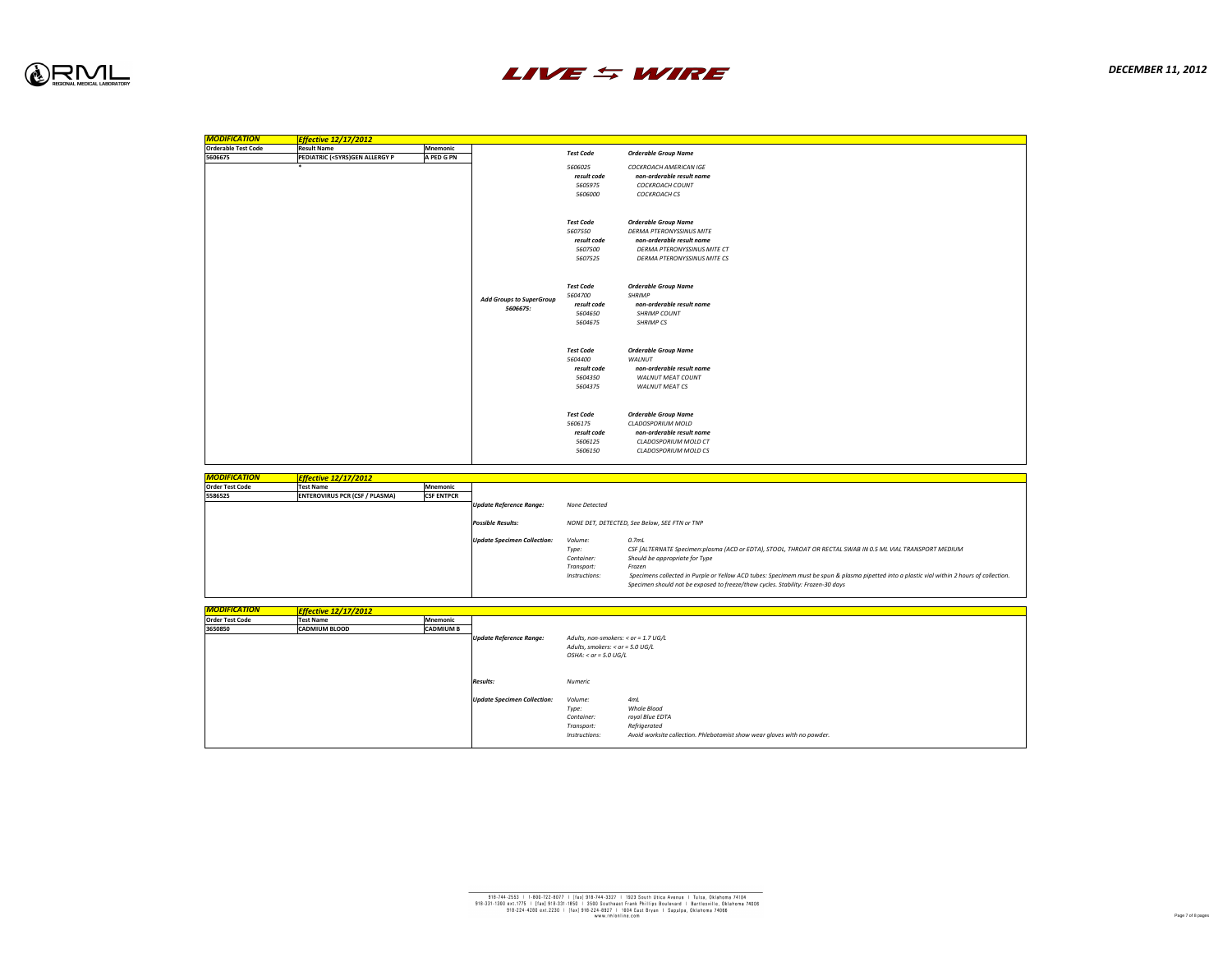

| <b>MODIFICATION</b>               | <b>Effective 12/17/2012</b>                        |                                      |                                             |                                                                              |                                                                                                                                                                                                                |
|-----------------------------------|----------------------------------------------------|--------------------------------------|---------------------------------------------|------------------------------------------------------------------------------|----------------------------------------------------------------------------------------------------------------------------------------------------------------------------------------------------------------|
| <b>Orderable Test Code</b>        | <b>Result Name</b>                                 | <b>Mnemonic</b>                      |                                             | <b>Test Code</b>                                                             | <b>Orderable Group Name</b>                                                                                                                                                                                    |
| 5606675                           | <b>PEDIATRIC (&lt;5YRS)GEN ALLERGY P</b><br>$\ast$ | A PED G PN                           |                                             | 5606025<br>result code<br>5605975<br>5606000                                 | <b>COCKROACH AMERICAN IGE</b><br>non-orderable result name<br><b>COCKROACH COUNT</b><br><b>COCKROACH CS</b>                                                                                                    |
|                                   |                                                    |                                      |                                             | <b>Test Code</b><br>5607550<br>result code<br>5607500<br>5607525             | <b>Orderable Group Name</b><br><b>DERMA PTERONYSSINUS MITE</b><br>non-orderable result name<br>DERMA PTERONYSSINUS MITE CT<br><b>DERMA PTERONYSSINUS MITE CS</b>                                               |
|                                   |                                                    |                                      | <b>Add Groups to SuperGroup</b><br>5606675: | <b>Test Code</b><br>5604700<br>result code<br>5604650<br>5604675             | <b>Orderable Group Name</b><br><b>SHRIMP</b><br>non-orderable result name<br><b>SHRIMP COUNT</b><br><b>SHRIMP CS</b>                                                                                           |
|                                   |                                                    |                                      |                                             | <b>Test Code</b><br>5604400<br>result code<br>5604350<br>5604375             | <b>Orderable Group Name</b><br><b>WALNUT</b><br>non-orderable result name<br><b>WALNUT MEAT COUNT</b><br><b>WALNUT MEAT CS</b>                                                                                 |
|                                   |                                                    |                                      |                                             | <b>Test Code</b><br>5606175<br>result code<br>5606125<br>5606150             | <b>Orderable Group Name</b><br><b>CLADOSPORIUM MOLD</b><br>non-orderable result name<br><b>CLADOSPORIUM MOLD CT</b><br><b>CLADOSPORIUM MOLD CS</b>                                                             |
|                                   |                                                    |                                      |                                             |                                                                              |                                                                                                                                                                                                                |
| <b>MODIFICATION</b>               | <b>Effective 12/17/2012</b><br><b>Test Name</b>    |                                      |                                             |                                                                              |                                                                                                                                                                                                                |
| <b>Order Test Code</b><br>5586525 | <b>ENTEROVIRUS PCR (CSF / PLASMA)</b>              | <b>Mnemonic</b><br><b>CSF ENTPCR</b> |                                             |                                                                              |                                                                                                                                                                                                                |
|                                   |                                                    |                                      | Update Reference Range:                     | None Detected                                                                |                                                                                                                                                                                                                |
|                                   |                                                    |                                      | <b>Possible Results:</b>                    |                                                                              | NONE DET, DETECTED, See Below, SEE FTN or TNP                                                                                                                                                                  |
|                                   |                                                    |                                      | <b>Update Specimen Collection:</b>          | Volume:<br>Type:<br>Container:<br>Transport:<br>Instructions:                | 0.7 <sub>ml</sub><br>CSF [ALTERNATE Specimen:plasma (ACD or ED1<br>Should be appropriate for Type<br>Frozen<br>Specimens collected in Purple or Yellow ACD tu<br>Specimen should not be exposed to freeze/thav |
|                                   |                                                    |                                      |                                             |                                                                              |                                                                                                                                                                                                                |
| <b>MODIFICATION</b>               | <b>Effective 12/17/2012</b>                        |                                      |                                             |                                                                              |                                                                                                                                                                                                                |
| <b>Order Test Code</b><br>3650850 | <b>Test Name</b><br><b>CADMIUM BLOOD</b>           | Mnemonic<br><b>CADMIUM B</b>         | Update Reference Range:                     | Adults, non-smokers: $<$ or = 1.7 UG/L<br>Adults, smokers: $<$ or = 5.0 UG/L |                                                                                                                                                                                                                |
|                                   |                                                    |                                      |                                             | $OSHA$ : < or = 5.0 UG/L                                                     |                                                                                                                                                                                                                |
|                                   |                                                    |                                      | <b>Results:</b>                             | <b>Numeric</b>                                                               |                                                                                                                                                                                                                |
|                                   |                                                    |                                      | <b>Update Specimen Collection:</b>          | Volume:<br>Type:<br>Container:<br>Transport:<br>Instructions:                | 4mL<br>Whole Blood<br>royal Blue EDTA<br>Refrigerated<br>Avoid worksite collection. Phlebotomist show w                                                                                                        |



ubes: Specimem must be spun & plasma pipetted into a plastic vial within 2 hours of collection. *Specimen should not be exposed to freeze/thaw cycles. Stability: Frozen-30 days*

*Type: CSF [ALTERNATE Specimen:plasma (ACD or EDTA), STOOL, THROAT OR RECTAL SWAB IN 0.5 ML VIAL TRANSPORT MEDIUM*

*Instructions: Avoid worksite collection. Phlebotomist show wear gloves with no powder.*